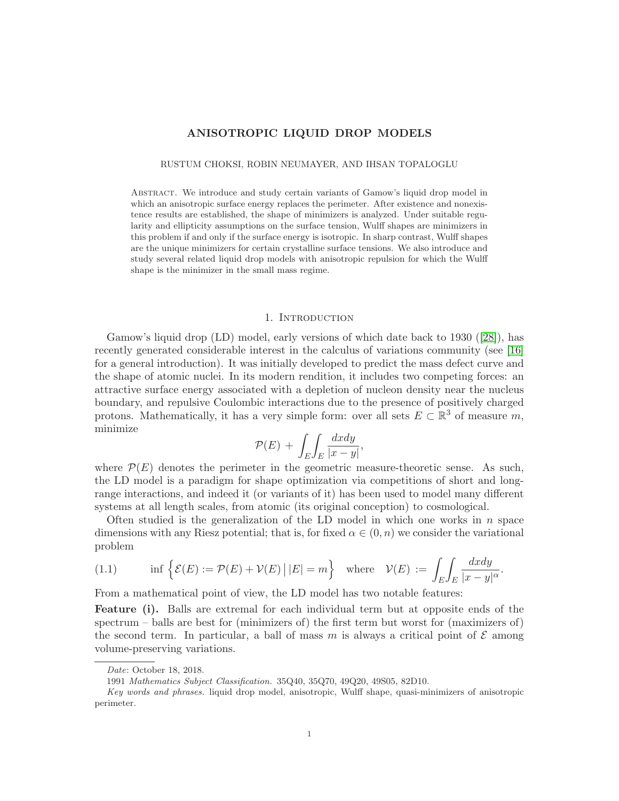# ANISOTROPIC LIQUID DROP MODELS

#### RUSTUM CHOKSI, ROBIN NEUMAYER, AND IHSAN TOPALOGLU

Abstract. We introduce and study certain variants of Gamow's liquid drop model in which an anisotropic surface energy replaces the perimeter. After existence and nonexistence results are established, the shape of minimizers is analyzed. Under suitable regularity and ellipticity assumptions on the surface tension, Wulff shapes are minimizers in this problem if and only if the surface energy is isotropic. In sharp contrast, Wulff shapes are the unique minimizers for certain crystalline surface tensions. We also introduce and study several related liquid drop models with anisotropic repulsion for which the Wulff shape is the minimizer in the small mass regime.

## 1. INTRODUCTION

Gamow's liquid drop (LD) model, early versions of which date back to 1930 ([\[28\]](#page-26-0)), has recently generated considerable interest in the calculus of variations community (see [\[16\]](#page-25-0) for a general introduction). It was initially developed to predict the mass defect curve and the shape of atomic nuclei. In its modern rendition, it includes two competing forces: an attractive surface energy associated with a depletion of nucleon density near the nucleus boundary, and repulsive Coulombic interactions due to the presence of positively charged protons. Mathematically, it has a very simple form: over all sets  $E \subset \mathbb{R}^3$  of measure m, minimize

$$
\mathcal{P}(E) + \int_{E} \int_{E} \frac{dx dy}{|x - y|},
$$

where  $\mathcal{P}(E)$  denotes the perimeter in the geometric measure-theoretic sense. As such, the LD model is a paradigm for shape optimization via competitions of short and longrange interactions, and indeed it (or variants of it) has been used to model many different systems at all length scales, from atomic (its original conception) to cosmological.

Often studied is the generalization of the LD model in which one works in  $n$  space dimensions with any Riesz potential; that is, for fixed  $\alpha \in (0, n)$  we consider the variational problem

<span id="page-0-0"></span>(1.1) 
$$
\inf \left\{ \mathcal{E}(E) := \mathcal{P}(E) + \mathcal{V}(E) \, \big| \, |E| = m \right\} \quad \text{where} \quad \mathcal{V}(E) := \int_E \int_E \frac{dx dy}{|x - y|^{\alpha}}.
$$

From a mathematical point of view, the LD model has two notable features:

**Feature (i).** Balls are extremal for each individual term but at opposite ends of the spectrum – balls are best for (minimizers of) the first term but worst for (maximizers of) the second term. In particular, a ball of mass m is always a critical point of  $\mathcal E$  among volume-preserving variations.

Date: October 18, 2018.

<sup>1991</sup> Mathematics Subject Classification. 35Q40, 35Q70, 49Q20, 49S05, 82D10.

Key words and phrases. liquid drop model, anisotropic, Wulff shape, quasi-minimizers of anisotropic perimeter.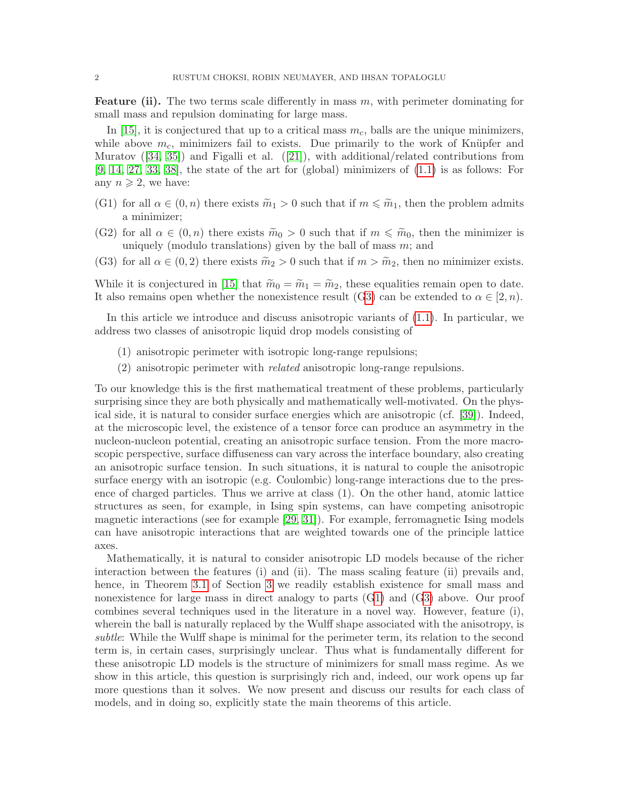**Feature (ii).** The two terms scale differently in mass  $m$ , with perimeter dominating for small mass and repulsion dominating for large mass.

In [\[15\]](#page-25-1), it is conjectured that up to a critical mass  $m<sub>c</sub>$ , balls are the unique minimizers, while above  $m_c$ , minimizers fail to exists. Due primarily to the work of Knüpfer and Muratov ([\[34,](#page-26-1) [35\]](#page-26-2)) and Figalli et al. ([\[21\]](#page-26-3)), with additional/related contributions from  $[9, 14, 27, 33, 38]$  $[9, 14, 27, 33, 38]$  $[9, 14, 27, 33, 38]$  $[9, 14, 27, 33, 38]$  $[9, 14, 27, 33, 38]$ , the state of the art for (global) minimizers of  $(1.1)$  is as follows: For any  $n \geqslant 2$ , we have:

- <span id="page-1-1"></span>(G1) for all  $\alpha \in (0, n)$  there exists  $\widetilde{m}_1 > 0$  such that if  $m \leq \widetilde{m}_1$ , then the problem admits a minimizer;
- <span id="page-1-2"></span>(G2) for all  $\alpha \in (0, n)$  there exists  $\widetilde{m}_0 > 0$  such that if  $m \leq \widetilde{m}_0$ , then the minimizer is uniquely (modulo translations) given by the ball of mass  $m$ ; and
- <span id="page-1-0"></span>(G3) for all  $\alpha \in (0, 2)$  there exists  $\tilde{m}_2 > 0$  such that if  $m > \tilde{m}_2$ , then no minimizer exists.

While it is conjectured in [\[15\]](#page-25-1) that  $\widetilde{m}_0 = \widetilde{m}_1 = \widetilde{m}_2$ , these equalities remain open to date. It also remains open whether the nonexistence result ([G3\)](#page-1-0) can be extended to  $\alpha \in [2, n)$ .

In this article we introduce and discuss anisotropic variants of [\(1.1\)](#page-0-0). In particular, we address two classes of anisotropic liquid drop models consisting of

- (1) anisotropic perimeter with isotropic long-range repulsions;
- (2) anisotropic perimeter with related anisotropic long-range repulsions.

To our knowledge this is the first mathematical treatment of these problems, particularly surprising since they are both physically and mathematically well-motivated. On the physical side, it is natural to consider surface energies which are anisotropic (cf. [\[39\]](#page-27-1)). Indeed, at the microscopic level, the existence of a tensor force can produce an asymmetry in the nucleon-nucleon potential, creating an anisotropic surface tension. From the more macroscopic perspective, surface diffuseness can vary across the interface boundary, also creating an anisotropic surface tension. In such situations, it is natural to couple the anisotropic surface energy with an isotropic (e.g. Coulombic) long-range interactions due to the presence of charged particles. Thus we arrive at class (1). On the other hand, atomic lattice structures as seen, for example, in Ising spin systems, can have competing anisotropic magnetic interactions (see for example [\[29,](#page-26-6) [31\]](#page-26-7)). For example, ferromagnetic Ising models can have anisotropic interactions that are weighted towards one of the principle lattice axes.

Mathematically, it is natural to consider anisotropic LD models because of the richer interaction between the features (i) and (ii). The mass scaling feature (ii) prevails and, hence, in Theorem [3.1](#page-10-0) of Section [3](#page-10-1) we readily establish existence for small mass and nonexistence for large mass in direct analogy to parts ([G1\)](#page-1-1) and ([G3\)](#page-1-0) above. Our proof combines several techniques used in the literature in a novel way. However, feature (i), wherein the ball is naturally replaced by the Wulff shape associated with the anisotropy, is subtle: While the Wulff shape is minimal for the perimeter term, its relation to the second term is, in certain cases, surprisingly unclear. Thus what is fundamentally different for these anisotropic LD models is the structure of minimizers for small mass regime. As we show in this article, this question is surprisingly rich and, indeed, our work opens up far more questions than it solves. We now present and discuss our results for each class of models, and in doing so, explicitly state the main theorems of this article.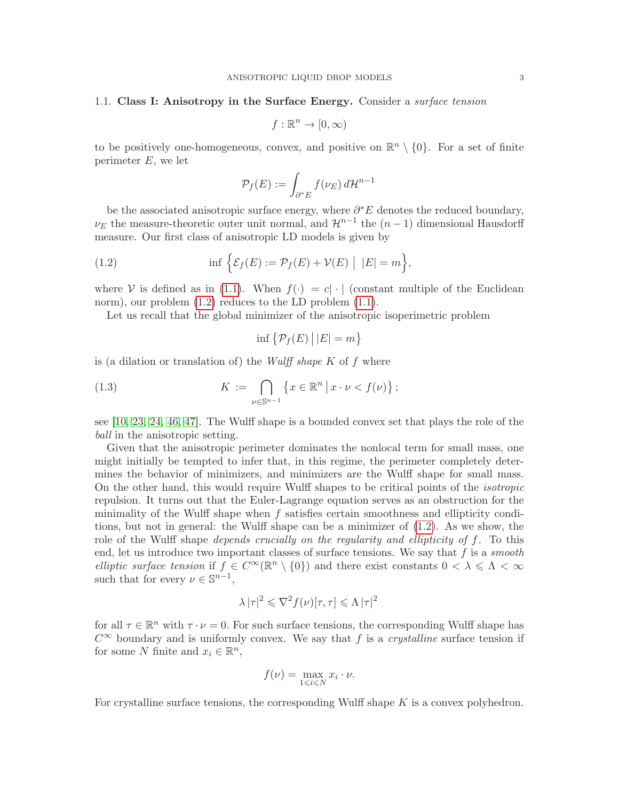### 1.1. Class I: Anisotropy in the Surface Energy. Consider a *surface tension*

$$
f:\mathbb{R}^n\to[0,\infty)
$$

to be positively one-homogeneous, convex, and positive on  $\mathbb{R}^n \setminus \{0\}$ . For a set of finite perimeter  $E$ , we let

<span id="page-2-0"></span>
$$
\mathcal{P}_f(E) := \int_{\partial^* E} f(\nu_E) \, d\mathcal{H}^{n-1}
$$

be the associated anisotropic surface energy, where  $\partial^* E$  denotes the reduced boundary,  $\nu_E$  the measure-theoretic outer unit normal, and  $\mathcal{H}^{n-1}$  the  $(n-1)$  dimensional Hausdorff measure. Our first class of anisotropic LD models is given by

(1.2) 
$$
\inf \Big\{ \mathcal{E}_f(E) := \mathcal{P}_f(E) + \mathcal{V}(E) \Big| |E| = m \Big\},
$$

where V is defined as in [\(1.1\)](#page-0-0). When  $f(\cdot) = c |\cdot|$  (constant multiple of the Euclidean norm), our problem  $(1.2)$  reduces to the LD problem  $(1.1)$ .

Let us recall that the global minimizer of the anisotropic isoperimetric problem

<span id="page-2-1"></span>
$$
\inf \{ \mathcal{P}_f(E) \, \big| \, |E| = m \}
$$

is (a dilation or translation of) the *Wulff shape K* of  $f$  where

(1.3) 
$$
K := \bigcap_{\nu \in \mathbb{S}^{n-1}} \left\{ x \in \mathbb{R}^n \, \big| \, x \cdot \nu < f(\nu) \right\};
$$

see [\[10,](#page-25-4) [23,](#page-26-8) [24,](#page-26-9) [46,](#page-27-2) [47\]](#page-27-3). The Wulff shape is a bounded convex set that plays the role of the ball in the anisotropic setting.

Given that the anisotropic perimeter dominates the nonlocal term for small mass, one might initially be tempted to infer that, in this regime, the perimeter completely determines the behavior of minimizers, and minimizers are the Wulff shape for small mass. On the other hand, this would require Wulff shapes to be critical points of the isotropic repulsion. It turns out that the Euler-Lagrange equation serves as an obstruction for the minimality of the Wulff shape when  $f$  satisfies certain smoothness and ellipticity conditions, but not in general: the Wulff shape can be a minimizer of [\(1.2\)](#page-2-0). As we show, the role of the Wulff shape *depends crucially on the regularity and ellipticity of f.* To this end, let us introduce two important classes of surface tensions. We say that  $f$  is a smooth elliptic surface tension if  $f \in C^{\infty}(\mathbb{R}^n \setminus \{0\})$  and there exist constants  $0 < \lambda \leq \Lambda < \infty$ such that for every  $\nu \in \mathbb{S}^{n-1}$ ,

$$
\lambda |\tau|^2 \leqslant \nabla^2 f(\nu) [\tau, \tau] \leqslant \Lambda |\tau|^2
$$

for all  $\tau \in \mathbb{R}^n$  with  $\tau \cdot \nu = 0$ . For such surface tensions, the corresponding Wulff shape has  $C^{\infty}$  boundary and is uniformly convex. We say that f is a *crystalline* surface tension if for some N finite and  $x_i \in \mathbb{R}^n$ ,

$$
f(\nu) = \max_{1 \leq i \leq N} x_i \cdot \nu.
$$

For crystalline surface tensions, the corresponding Wulff shape  $K$  is a convex polyhedron.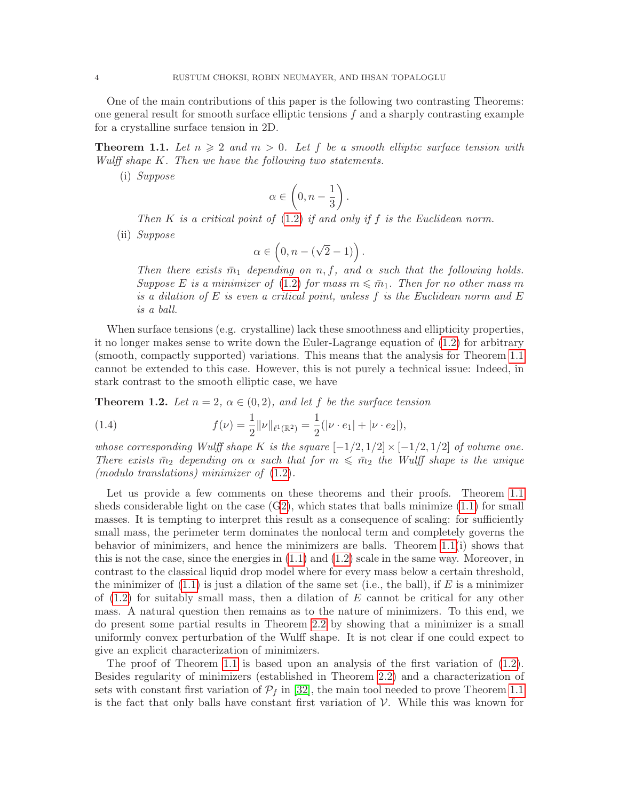One of the main contributions of this paper is the following two contrasting Theorems: one general result for smooth surface elliptic tensions  $f$  and a sharply contrasting example for a crystalline surface tension in 2D.

<span id="page-3-0"></span>**Theorem 1.1.** Let  $n \geq 2$  and  $m > 0$ . Let f be a smooth elliptic surface tension with Wulff shape K. Then we have the following two statements.

(i) Suppose

$$
\alpha \in \left(0, n - \frac{1}{3}\right).
$$

Then K is a critical point of  $(1.2)$  if and only if f is the Euclidean norm.

(ii) Suppose

$$
\alpha \in \left(0, n - (\sqrt{2} - 1)\right).
$$

Then there exists  $\bar{m}_1$  depending on n, f, and  $\alpha$  such that the following holds. Suppose E is a minimizer of [\(1.2\)](#page-2-0) for mass  $m \leq \overline{m}_1$ . Then for no other mass m is a dilation of E is even a critical point, unless f is the Euclidean norm and  $E$ is a ball.

When surface tensions (e.g. crystalline) lack these smoothness and ellipticity properties, it no longer makes sense to write down the Euler-Lagrange equation of [\(1.2\)](#page-2-0) for arbitrary (smooth, compactly supported) variations. This means that the analysis for Theorem [1.1](#page-3-0) cannot be extended to this case. However, this is not purely a technical issue: Indeed, in stark contrast to the smooth elliptic case, we have

<span id="page-3-1"></span>**Theorem 1.2.** Let  $n = 2$ ,  $\alpha \in (0, 2)$ , and let f be the surface tension

<span id="page-3-2"></span>(1.4) 
$$
f(\nu) = \frac{1}{2} ||\nu||_{\ell^1(\mathbb{R}^2)} = \frac{1}{2} (|\nu \cdot e_1| + |\nu \cdot e_2|),
$$

whose corresponding Wulff shape K is the square  $[-1/2, 1/2] \times [-1/2, 1/2]$  of volume one. There exists  $\bar{m}_2$  depending on  $\alpha$  such that for  $m \leq \bar{m}_2$  the Wulff shape is the unique (modulo translations) minimizer of [\(1.2\)](#page-2-0).

Let us provide a few comments on these theorems and their proofs. Theorem [1.1](#page-3-0) sheds considerable light on the case  $(G2)$  $(G2)$ , which states that balls minimize  $(1.1)$  for small masses. It is tempting to interpret this result as a consequence of scaling: for sufficiently small mass, the perimeter term dominates the nonlocal term and completely governs the behavior of minimizers, and hence the minimizers are balls. Theorem [1.1\(](#page-3-0)i) shows that this is not the case, since the energies in [\(1.1\)](#page-0-0) and [\(1.2\)](#page-2-0) scale in the same way. Moreover, in contrast to the classical liquid drop model where for every mass below a certain threshold, the minimizer of  $(1.1)$  is just a dilation of the same set (i.e., the ball), if E is a minimizer of  $(1.2)$  for suitably small mass, then a dilation of E cannot be critical for any other mass. A natural question then remains as to the nature of minimizers. To this end, we do present some partial results in Theorem [2.2](#page-9-0) by showing that a minimizer is a small uniformly convex perturbation of the Wulff shape. It is not clear if one could expect to give an explicit characterization of minimizers.

The proof of Theorem [1.1](#page-3-0) is based upon an analysis of the first variation of  $(1.2)$ . Besides regularity of minimizers (established in Theorem [2.2\)](#page-9-0) and a characterization of sets with constant first variation of  $\mathcal{P}_f$  in [\[32\]](#page-26-10), the main tool needed to prove Theorem [1.1](#page-3-0) is the fact that only balls have constant first variation of  $V$ . While this was known for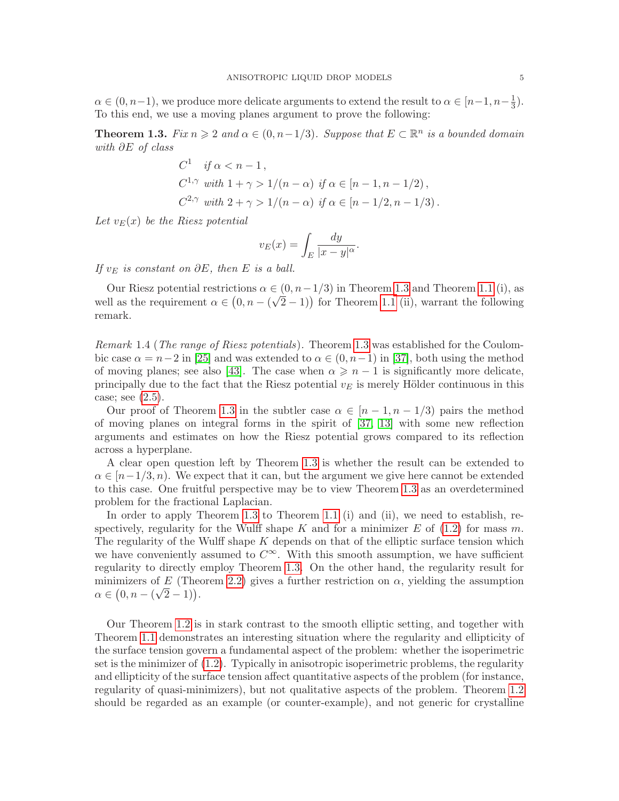$\alpha \in (0, n-1)$ , we produce more delicate arguments to extend the result to  $\alpha \in [n-1, n-\frac{1}{3}]$  $\frac{1}{3}$ . To this end, we use a moving planes argument to prove the following:

<span id="page-4-0"></span>**Theorem 1.3.** Fix  $n \geq 2$  and  $\alpha \in (0, n-1/3)$ . Suppose that  $E \subset \mathbb{R}^n$  is a bounded domain with ∂E of class

$$
C^{1} \quad \text{if } \alpha < n - 1,
$$
\n
$$
C^{1,\gamma} \quad \text{with } 1 + \gamma > 1/(n - \alpha) \quad \text{if } \alpha \in [n - 1, n - 1/2),
$$
\n
$$
C^{2,\gamma} \quad \text{with } 2 + \gamma > 1/(n - \alpha) \quad \text{if } \alpha \in [n - 1/2, n - 1/3).
$$

Let  $v_E(x)$  be the Riesz potential

$$
v_E(x) = \int_E \frac{dy}{|x - y|^{\alpha}}.
$$

If  $v<sub>E</sub>$  is constant on  $\partial E$ , then E is a ball.

Our Riesz potential restrictions  $\alpha \in (0, n-1/3)$  in Theorem [1.3](#page-4-0) and Theorem [1.1](#page-3-0) (i), as well as the requirement  $\alpha \in (0, n - (\sqrt{2} - 1))$  for Theorem [1.1](#page-3-0) (ii), warrant the following remark.

<span id="page-4-1"></span>Remark 1.4 (The range of Riesz potentials). Theorem [1.3](#page-4-0) was established for the Coulombic case  $\alpha = n-2$  in [\[25\]](#page-26-11) and was extended to  $\alpha \in (0, n-1)$  in [\[37\]](#page-27-4), both using the method of moving planes; see also [\[43\]](#page-27-5). The case when  $\alpha \geqslant n-1$  is significantly more delicate, principally due to the fact that the Riesz potential  $v_E$  is merely Hölder continuous in this case; see [\(2.5\)](#page-7-0).

Our proof of Theorem [1.3](#page-4-0) in the subtler case  $\alpha \in [n-1, n-1/3]$  pairs the method of moving planes on integral forms in the spirit of [\[37,](#page-27-4) [13\]](#page-25-5) with some new reflection arguments and estimates on how the Riesz potential grows compared to its reflection across a hyperplane.

A clear open question left by Theorem [1.3](#page-4-0) is whether the result can be extended to  $\alpha \in [n-1/3, n]$ . We expect that it can, but the argument we give here cannot be extended to this case. One fruitful perspective may be to view Theorem [1.3](#page-4-0) as an overdetermined problem for the fractional Laplacian.

In order to apply Theorem [1.3](#page-4-0) to Theorem [1.1](#page-3-0) (i) and (ii), we need to establish, respectively, regularity for the Wulff shape K and for a minimizer E of  $(1.2)$  for mass m. The regularity of the Wulff shape  $K$  depends on that of the elliptic surface tension which we have conveniently assumed to  $C^{\infty}$ . With this smooth assumption, we have sufficient regularity to directly employ Theorem [1.3.](#page-4-0) On the other hand, the regularity result for minimizers of E (Theorem [2.2\)](#page-9-0) gives a further restriction on  $\alpha$ , yielding the assumption  $\alpha \in (0, n - (\sqrt{2} - 1)).$ 

Our Theorem [1.2](#page-3-1) is in stark contrast to the smooth elliptic setting, and together with Theorem [1.1](#page-3-0) demonstrates an interesting situation where the regularity and ellipticity of the surface tension govern a fundamental aspect of the problem: whether the isoperimetric set is the minimizer of [\(1.2\)](#page-2-0). Typically in anisotropic isoperimetric problems, the regularity and ellipticity of the surface tension affect quantitative aspects of the problem (for instance, regularity of quasi-minimizers), but not qualitative aspects of the problem. Theorem [1.2](#page-3-1) should be regarded as an example (or counter-example), and not generic for crystalline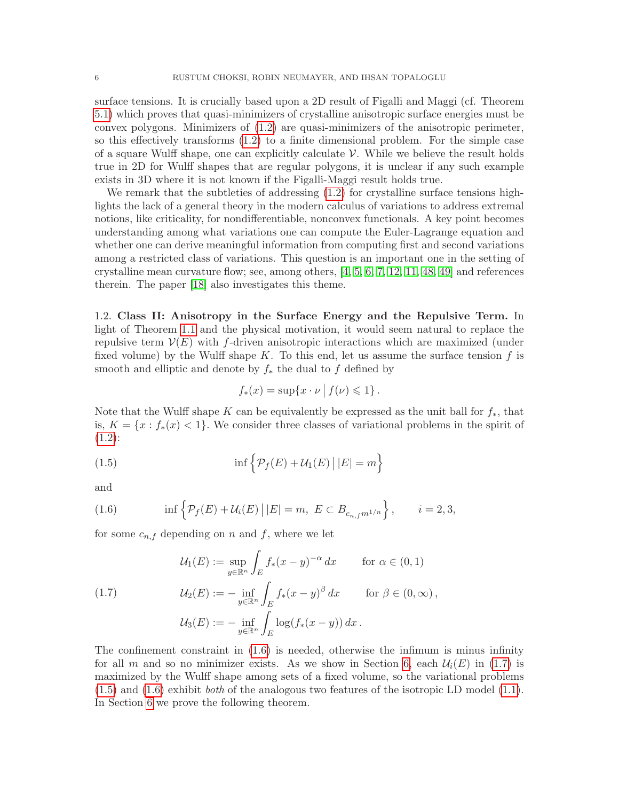surface tensions. It is crucially based upon a 2D result of Figalli and Maggi (cf. Theorem [5.1\)](#page-15-0) which proves that quasi-minimizers of crystalline anisotropic surface energies must be convex polygons. Minimizers of [\(1.2\)](#page-2-0) are quasi-minimizers of the anisotropic perimeter, so this effectively transforms [\(1.2\)](#page-2-0) to a finite dimensional problem. For the simple case of a square Wulff shape, one can explicitly calculate  $\mathcal V$ . While we believe the result holds true in 2D for Wulff shapes that are regular polygons, it is unclear if any such example exists in 3D where it is not known if the Figalli-Maggi result holds true.

We remark that the subtleties of addressing  $(1.2)$  for crystalline surface tensions highlights the lack of a general theory in the modern calculus of variations to address extremal notions, like criticality, for nondifferentiable, nonconvex functionals. A key point becomes understanding among what variations one can compute the Euler-Lagrange equation and whether one can derive meaningful information from computing first and second variations among a restricted class of variations. This question is an important one in the setting of crystalline mean curvature flow; see, among others, [\[4,](#page-25-6) [5,](#page-25-7) [6,](#page-25-8) [7,](#page-25-9) [12,](#page-25-10) [11,](#page-25-11) [48,](#page-27-6) [49\]](#page-27-7) and references therein. The paper [\[18\]](#page-25-12) also investigates this theme.

1.2. Class II: Anisotropy in the Surface Energy and the Repulsive Term. In light of Theorem [1.1](#page-3-0) and the physical motivation, it would seem natural to replace the repulsive term  $V(E)$  with f-driven anisotropic interactions which are maximized (under fixed volume) by the Wulff shape K. To this end, let us assume the surface tension  $f$  is smooth and elliptic and denote by  $f_*$  the dual to f defined by

<span id="page-5-2"></span>
$$
f_*(x) = \sup\{x \cdot \nu \mid f(\nu) \leq 1\}.
$$

Note that the Wulff shape K can be equivalently be expressed as the unit ball for  $f_*$ , that is,  $K = \{x : f_*(x) < 1\}$ . We consider three classes of variational problems in the spirit of  $(1.2):$  $(1.2):$ 

(1.5) 
$$
\inf \left\{ \mathcal{P}_f(E) + \mathcal{U}_1(E) \mid |E| = m \right\}
$$

and

<span id="page-5-0"></span>(1.6) 
$$
\inf \left\{ \mathcal{P}_f(E) + \mathcal{U}_i(E) \, | \, |E| = m, \ E \subset B_{c_{n,f}m^{1/n}} \right\}, \qquad i = 2, 3,
$$

for some  $c_{n,f}$  depending on n and f, where we let

<span id="page-5-1"></span>(1.7) 
$$
\mathcal{U}_1(E) := \sup_{y \in \mathbb{R}^n} \int_E f_*(x - y)^{-\alpha} dx \quad \text{for } \alpha \in (0, 1)
$$

$$
\mathcal{U}_2(E) := -\inf_{y \in \mathbb{R}^n} \int_E f_*(x - y)^{\beta} dx \quad \text{for } \beta \in (0, \infty),
$$

$$
\mathcal{U}_3(E) := -\inf_{y \in \mathbb{R}^n} \int_E \log(f_*(x - y)) dx.
$$

The confinement constraint in [\(1.6\)](#page-5-0) is needed, otherwise the infimum is minus infinity for all m and so no minimizer exists. As we show in Section [6,](#page-17-0) each  $\mathcal{U}_i(E)$  in [\(1.7\)](#page-5-1) is maximized by the Wulff shape among sets of a fixed volume, so the variational problems  $(1.5)$  and  $(1.6)$  exhibit *both* of the analogous two features of the isotropic LD model  $(1.1)$ . In Section [6](#page-17-0) we prove the following theorem.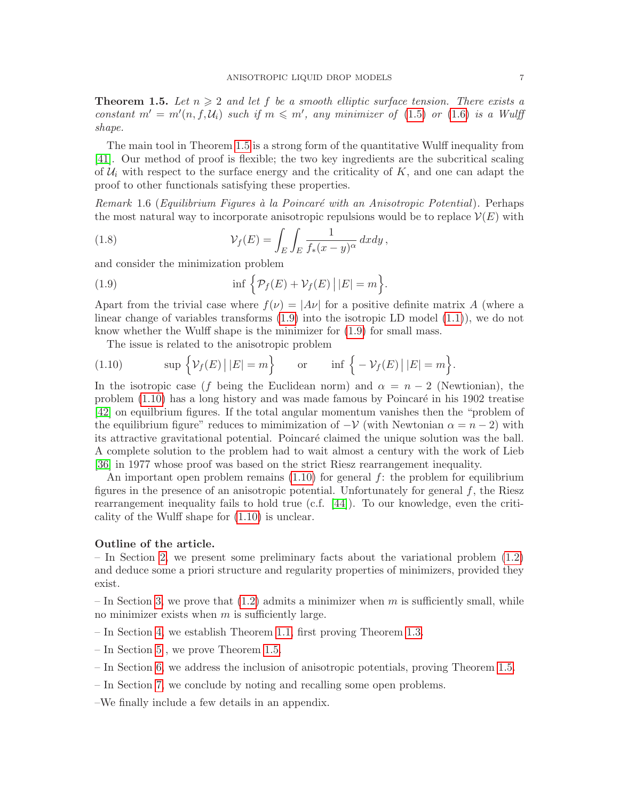<span id="page-6-0"></span>**Theorem 1.5.** Let  $n \geq 2$  and let f be a smooth elliptic surface tension. There exists a constant  $m' = m'(n, f, \mathcal{U}_i)$  such if  $m \leq m'$ , any minimizer of [\(1.5\)](#page-5-2) or [\(1.6\)](#page-5-0) is a Wulff shape.

The main tool in Theorem [1.5](#page-6-0) is a strong form of the quantitative Wulff inequality from [\[41\]](#page-27-8). Our method of proof is flexible; the two key ingredients are the subcritical scaling of  $\mathcal{U}_i$  with respect to the surface energy and the criticality of  $K$ , and one can adapt the proof to other functionals satisfying these properties.

<span id="page-6-3"></span>Remark 1.6 (Equilibrium Figures  $\dot{a}$  la Poincaré with an Anisotropic Potential). Perhaps the most natural way to incorporate anisotropic repulsions would be to replace  $\mathcal{V}(E)$  with

(1.8) 
$$
\mathcal{V}_f(E) = \int_E \int_E \frac{1}{f_*(x-y)^\alpha} dx dy,
$$

and consider the minimization problem

<span id="page-6-1"></span>(1.9) 
$$
\inf \left\{ \mathcal{P}_f(E) + \mathcal{V}_f(E) \, | \, |E| = m \right\}.
$$

Apart from the trivial case where  $f(\nu) = |A\nu|$  for a positive definite matrix A (where a linear change of variables transforms [\(1.9\)](#page-6-1) into the isotropic LD model [\(1.1\)](#page-0-0)), we do not know whether the Wulff shape is the minimizer for [\(1.9\)](#page-6-1) for small mass.

<span id="page-6-2"></span>The issue is related to the anisotropic problem

(1.10) 
$$
\sup \left\{ \mathcal{V}_f(E) \mid |E| = m \right\} \quad \text{or} \quad \inf \left\{ -\mathcal{V}_f(E) \mid |E| = m \right\}.
$$

In the isotropic case (f being the Euclidean norm) and  $\alpha = n-2$  (Newtionian), the problem  $(1.10)$  has a long history and was made famous by Poincaré in his 1902 treatise [\[42\]](#page-27-9) on equilbrium figures. If the total angular momentum vanishes then the "problem of the equilibrium figure" reduces to mimimization of  $-\mathcal{V}$  (with Newtonian  $\alpha = n-2$ ) with its attractive gravitational potential. Poincaré claimed the unique solution was the ball. A complete solution to the problem had to wait almost a century with the work of Lieb [\[36\]](#page-26-12) in 1977 whose proof was based on the strict Riesz rearrangement inequality.

An important open problem remains  $(1.10)$  for general f: the problem for equilibrium figures in the presence of an anisotropic potential. Unfortunately for general  $f$ , the Riesz rearrangement inequality fails to hold true (c.f. [\[44\]](#page-27-10)). To our knowledge, even the criticality of the Wulff shape for [\(1.10\)](#page-6-2) is unclear.

# Outline of the article.

– In Section [2,](#page-7-1) we present some preliminary facts about the variational problem [\(1.2\)](#page-2-0) and deduce some a priori structure and regularity properties of minimizers, provided they exist.

– In Section [3,](#page-10-1) we prove that  $(1.2)$  admits a minimizer when m is sufficiently small, while no minimizer exists when  $m$  is sufficiently large.

- In Section [4,](#page-12-0) we establish Theorem [1.1,](#page-3-0) first proving Theorem [1.3.](#page-4-0)
- In Section [5](#page-15-1) , we prove Theorem [1.5.](#page-6-0)
- In Section [6,](#page-17-0) we address the inclusion of anisotropic potentials, proving Theorem [1.5.](#page-6-0)
- In Section [7,](#page-19-0) we conclude by noting and recalling some open problems.
- –We finally include a few details in an appendix.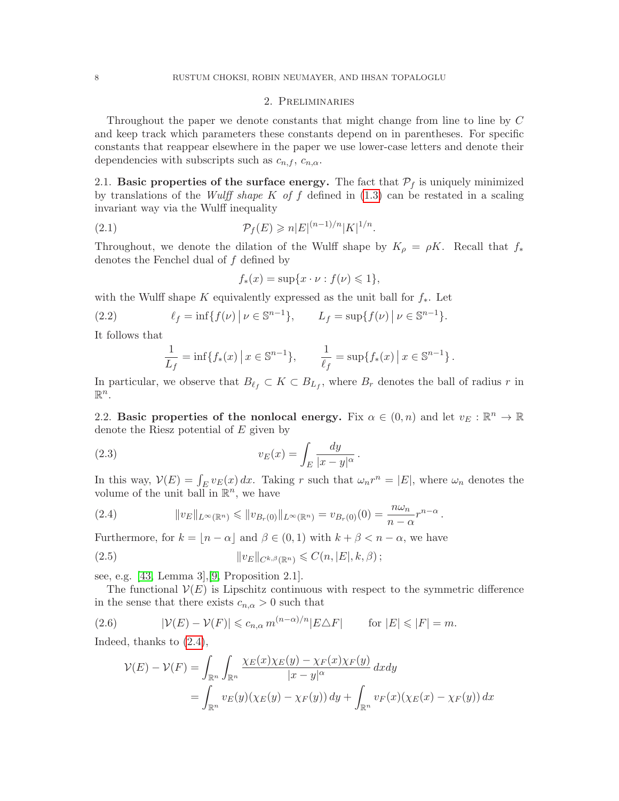### 2. Preliminaries

<span id="page-7-1"></span>Throughout the paper we denote constants that might change from line to line by C and keep track which parameters these constants depend on in parentheses. For specific constants that reappear elsewhere in the paper we use lower-case letters and denote their dependencies with subscripts such as  $c_{n,f}$ ,  $c_{n,\alpha}$ .

2.1. Basic properties of the surface energy. The fact that  $P_f$  is uniquely minimized by translations of the *Wulff shape K of f* defined in  $(1.3)$  can be restated in a scaling invariant way via the Wulff inequality

(2.1) 
$$
\mathcal{P}_f(E) \geq n|E|^{(n-1)/n}|K|^{1/n}.
$$

Throughout, we denote the dilation of the Wulff shape by  $K_{\rho} = \rho K$ . Recall that  $f_*$ denotes the Fenchel dual of f defined by

<span id="page-7-6"></span>
$$
f_*(x) = \sup\{x \cdot \nu : f(\nu) \leq 1\},\
$$

with the Wulff shape K equivalently expressed as the unit ball for  $f_*$ . Let

(2.2) 
$$
\ell_f = \inf \{ f(\nu) \, | \, \nu \in \mathbb{S}^{n-1} \}, \qquad L_f = \sup \{ f(\nu) \, | \, \nu \in \mathbb{S}^{n-1} \}.
$$

It follows that

<span id="page-7-5"></span><span id="page-7-4"></span>
$$
\frac{1}{L_f} = \inf\{f_*(x) \, \big| \, x \in \mathbb{S}^{n-1}\}, \qquad \frac{1}{\ell_f} = \sup\{f_*(x) \, \big| \, x \in \mathbb{S}^{n-1}\}.
$$

In particular, we observe that  $B_{\ell_f} \subset K \subset B_{L_f}$ , where  $B_r$  denotes the ball of radius r in  $\mathbb{R}^n$ .

2.2. Basic properties of the nonlocal energy. Fix  $\alpha \in (0, n)$  and let  $v_E : \mathbb{R}^n \to \mathbb{R}$ denote the Riesz potential of  $E$  given by

(2.3) 
$$
v_E(x) = \int_E \frac{dy}{|x - y|^{\alpha}}.
$$

In this way,  $V(E) = \int_E v_E(x) dx$ . Taking r such that  $\omega_n r^n = |E|$ , where  $\omega_n$  denotes the volume of the unit ball in  $\mathbb{R}^n$ , we have

<span id="page-7-2"></span>(2.4) 
$$
||v_E||_{L^{\infty}(\mathbb{R}^n)} \leq ||v_{B_r(0)}||_{L^{\infty}(\mathbb{R}^n)} = v_{B_r(0)}(0) = \frac{n\omega_n}{n-\alpha}r^{n-\alpha}.
$$

Furthermore, for  $k = \lfloor n - \alpha \rfloor$  and  $\beta \in (0, 1)$  with  $k + \beta < n - \alpha$ , we have

<span id="page-7-0"></span>(2.5) 
$$
||v_E||_{C^{k,\beta}(\mathbb{R}^n)} \leqslant C(n,|E|,k,\beta);
$$

see, e.g. [\[43,](#page-27-5) Lemma 3],[\[9,](#page-25-2) Proposition 2.1].

The functional  $V(E)$  is Lipschitz continuous with respect to the symmetric difference in the sense that there exists  $c_{n,\alpha} > 0$  such that

(2.6) 
$$
|\mathcal{V}(E) - \mathcal{V}(F)| \leq c_{n,\alpha} m^{(n-\alpha)/n} |E \triangle F| \quad \text{for } |E| \leq |F| = m.
$$

Indeed, thanks to [\(2.4\)](#page-7-2),

<span id="page-7-3"></span>
$$
\mathcal{V}(E) - \mathcal{V}(F) = \int_{\mathbb{R}^n} \int_{\mathbb{R}^n} \frac{\chi_E(x)\chi_E(y) - \chi_F(x)\chi_F(y)}{|x - y|^{\alpha}} dx dy
$$
  
= 
$$
\int_{\mathbb{R}^n} v_E(y)(\chi_E(y) - \chi_F(y)) dy + \int_{\mathbb{R}^n} v_F(x)(\chi_E(x) - \chi_F(y)) dx
$$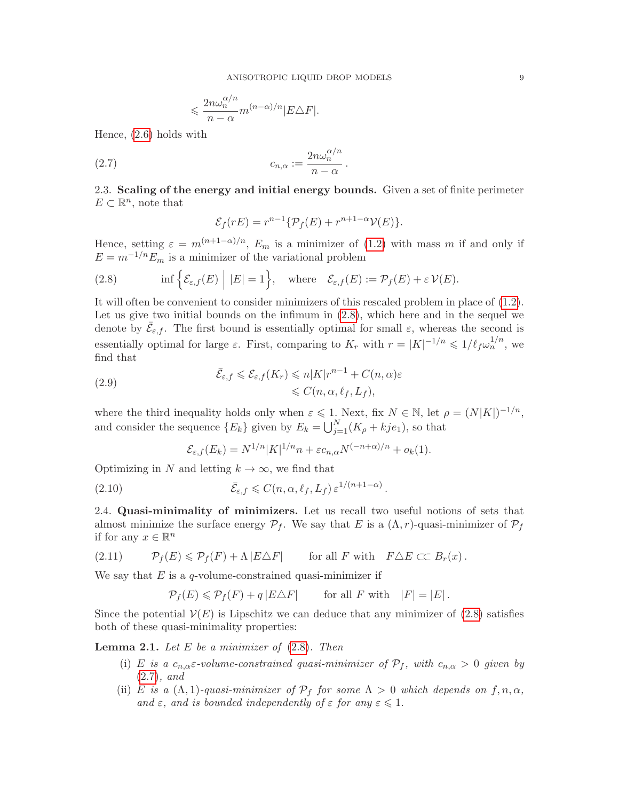$$
\leqslant \frac{2n\omega_n^{\alpha/n}}{n-\alpha}m^{(n-\alpha)/n}|E\triangle F|.
$$

Hence, [\(2.6\)](#page-7-3) holds with

$$
(2.7) \t\t\t c_{n,\alpha} := \frac{2n\omega_n^{\alpha/n}}{n-\alpha}.
$$

2.3. Scaling of the energy and initial energy bounds. Given a set of finite perimeter  $E \subset \mathbb{R}^n$ , note that

<span id="page-8-1"></span>
$$
\mathcal{E}_f(rE) = r^{n-1} \{ \mathcal{P}_f(E) + r^{n+1-\alpha} \mathcal{V}(E) \}.
$$

Hence, setting  $\varepsilon = m^{(n+1-\alpha)/n}$ ,  $E_m$  is a minimizer of [\(1.2\)](#page-2-0) with mass m if and only if  $E = m^{-1/n} E_m$  is a minimizer of the variational problem

<span id="page-8-0"></span>(2.8) 
$$
\inf \Big\{ \mathcal{E}_{\varepsilon,f}(E) \Big| |E| = 1 \Big\}, \quad \text{where} \quad \mathcal{E}_{\varepsilon,f}(E) := \mathcal{P}_f(E) + \varepsilon \mathcal{V}(E).
$$

It will often be convenient to consider minimizers of this rescaled problem in place of [\(1.2\)](#page-2-0). Let us give two initial bounds on the infimum in [\(2.8\)](#page-8-0), which here and in the sequel we denote by  $\bar{\mathcal{E}}_{\varepsilon,f}$ . The first bound is essentially optimal for small  $\varepsilon$ , whereas the second is essentially optimal for large  $\varepsilon$ . First, comparing to  $K_r$  with  $r = |K|^{-1/n} \leq 1/\ell_f \omega_n^{1/n}$ , we find that

<span id="page-8-5"></span>(2.9) 
$$
\bar{\mathcal{E}}_{\varepsilon,f} \leq \mathcal{E}_{\varepsilon,f}(K_r) \leqslant n|K|r^{n-1} + C(n,\alpha)\varepsilon
$$

$$
\leqslant C(n,\alpha,\ell_f,L_f),
$$

where the third inequality holds only when  $\varepsilon \leqslant 1$ . Next, fix  $N \in \mathbb{N}$ , let  $\rho = (N|K|)^{-1/n}$ , and consider the sequence  ${E_k}$  given by  $E_k = \bigcup_{j=1}^{N} (K_\rho + kje_1)$ , so that

<span id="page-8-6"></span>
$$
\mathcal{E}_{\varepsilon,f}(E_k) = N^{1/n} |K|^{1/n} n + \varepsilon c_{n,\alpha} N^{(-n+\alpha)/n} + o_k(1).
$$

Optimizing in N and letting  $k \to \infty$ , we find that

(2.10) 
$$
\bar{\mathcal{E}}_{\varepsilon,f} \leqslant C(n,\alpha,\ell_f,L_f) \,\varepsilon^{1/(n+1-\alpha)}.
$$

<span id="page-8-3"></span>2.4. Quasi-minimality of minimizers. Let us recall two useful notions of sets that almost minimize the surface energy  $\mathcal{P}_f$ . We say that E is a  $(\Lambda, r)$ -quasi-minimizer of  $\mathcal{P}_f$ if for any  $x \in \mathbb{R}^n$ 

(2.11) 
$$
\mathcal{P}_f(E) \leq \mathcal{P}_f(F) + \Lambda |E \triangle F|
$$
 for all  $F$  with  $F \triangle E \subset C B_r(x)$ .

We say that  $E$  is a q-volume-constrained quasi-minimizer if

<span id="page-8-4"></span>
$$
\mathcal{P}_f(E) \leqslant \mathcal{P}_f(F) + q |E \triangle F| \qquad \text{for all } F \text{ with } |F| = |E|.
$$

Since the potential  $\mathcal{V}(E)$  is Lipschitz we can deduce that any minimizer of [\(2.8\)](#page-8-0) satisfies both of these quasi-minimality properties:

<span id="page-8-2"></span>**Lemma 2.1.** Let  $E$  be a minimizer of  $(2.8)$ . Then

- (i) E is a  $c_{n,\alpha} \varepsilon$ -volume-constrained quasi-minimizer of  $\mathcal{P}_f$ , with  $c_{n,\alpha} > 0$  given by [\(2.7\)](#page-8-1), and
- (ii) E is a  $(\Lambda, 1)$ -quasi-minimizer of  $\mathcal{P}_f$  for some  $\Lambda > 0$  which depends on  $f, n, \alpha$ , and  $\varepsilon$ , and is bounded independently of  $\varepsilon$  for any  $\varepsilon \leq 1$ .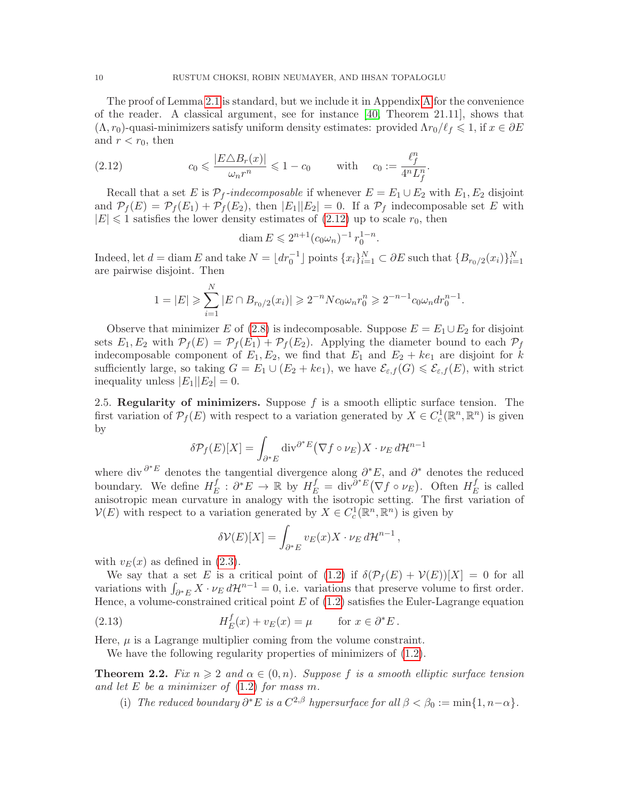The proof of Lemma [2.1](#page-8-2) is standard, but we include it in Appendix [A](#page-20-0) for the convenience of the reader. A classical argument, see for instance [\[40,](#page-27-11) Theorem 21.11], shows that  $(\Lambda, r_0)$ -quasi-minimizers satisfy uniform density estimates: provided  $\Lambda r_0/\ell_f \leq 1$ , if  $x \in \partial E$ and  $r < r_0$ , then

(2.12) 
$$
c_0 \leqslant \frac{|E \triangle B_r(x)|}{\omega_n r^n} \leqslant 1 - c_0 \quad \text{with} \quad c_0 := \frac{\ell_f^n}{4^n L_f^n}.
$$

Recall that a set E is  $\mathcal{P}_f$ -indecomposable if whenever  $E = E_1 \cup E_2$  with  $E_1, E_2$  disjoint and  $\mathcal{P}_f(E) = \mathcal{P}_f(E_1) + \mathcal{P}_f(E_2)$ , then  $|E_1||E_2| = 0$ . If a  $\mathcal{P}_f$  indecomposable set E with  $|E| \leq 1$  satisfies the lower density estimates of  $(2.12)$  up to scale  $r_0$ , then

<span id="page-9-1"></span>
$$
\text{diam}\, E \leqslant 2^{n+1} (c_0 \omega_n)^{-1} \, r_0^{1-n}
$$

.

Indeed, let  $d = \text{diam } E$  and take  $N = \lfloor dr_0^{-1} \rfloor$  points  $\{x_i\}_{i=1}^N \subset \partial E$  such that  $\{B_{r_0/2}(x_i)\}_{i=1}^N$ are pairwise disjoint. Then

$$
1 = |E| \geqslant \sum_{i=1}^{N} |E \cap B_{r_0/2}(x_i)| \geqslant 2^{-n} N c_0 \omega_n r_0^n \geqslant 2^{-n-1} c_0 \omega_n dr_0^{n-1}.
$$

Observe that minimizer E of [\(2.8\)](#page-8-0) is indecomposable. Suppose  $E = E_1 \cup E_2$  for disjoint sets  $E_1, E_2$  with  $\mathcal{P}_f(E) = \mathcal{P}_f(E_1) + \mathcal{P}_f(E_2)$ . Applying the diameter bound to each  $\mathcal{P}_f$ indecomposable component of  $E_1, E_2$ , we find that  $E_1$  and  $E_2 + ke_1$  are disjoint for k sufficiently large, so taking  $G = E_1 \cup (E_2 + ke_1)$ , we have  $\mathcal{E}_{\varepsilon,f}(G) \leq \mathcal{E}_{\varepsilon,f}(E)$ , with strict inequality unless  $|E_1||E_2|=0$ .

2.5. Regularity of minimizers. Suppose  $f$  is a smooth elliptic surface tension. The first variation of  $\mathcal{P}_f(E)$  with respect to a variation generated by  $X \in C_c^1(\mathbb{R}^n, \mathbb{R}^n)$  is given by

$$
\delta \mathcal{P}_f(E)[X] = \int_{\partial^* E} \text{div}^{\partial^* E} (\nabla f \circ \nu_E) X \cdot \nu_E d\mathcal{H}^{n-1}
$$

where div  $\partial^* E$  denotes the tangential divergence along  $\partial^* E$ , and  $\partial^*$  denotes the reduced boundary. We define  $H_F^f$  $E^f_E: \partial^* E \to \mathbb{R}$  by  $H^f_E = \text{div}^{\partial^* E} (\nabla f \circ \nu_E)$ . Often  $H^f_E$  $E$  is called anisotropic mean curvature in analogy with the isotropic setting. The first variation of  $\mathcal{V}(E)$  with respect to a variation generated by  $X \in C_c^1(\mathbb{R}^n, \mathbb{R}^n)$  is given by

<span id="page-9-2"></span>
$$
\delta \mathcal{V}(E)[X] = \int_{\partial^* E} v_E(x) X \cdot \nu_E d\mathcal{H}^{n-1},
$$

with  $v_E(x)$  as defined in [\(2.3\)](#page-7-4).

We say that a set E is a critical point of [\(1.2\)](#page-2-0) if  $\delta(\mathcal{P}_f(E) + \mathcal{V}(E))[X] = 0$  for all variations with  $\int_{\partial^* E} X \cdot \nu_E d\mathcal{H}^{n-1} = 0$ , i.e. variations that preserve volume to first order. Hence, a volume-constrained critical point  $E$  of  $(1.2)$  satisfies the Euler-Lagrange equation

(2.13) 
$$
H_E^f(x) + v_E(x) = \mu \quad \text{for } x \in \partial^* E.
$$

Here,  $\mu$  is a Lagrange multiplier coming from the volume constraint.

We have the following regularity properties of minimizers of  $(1.2)$ .

<span id="page-9-0"></span>**Theorem 2.2.** Fix  $n \geq 2$  and  $\alpha \in (0, n)$ . Suppose f is a smooth elliptic surface tension and let  $E$  be a minimizer of  $(1.2)$  for mass m.

(i) The reduced boundary  $\partial^* E$  is a  $C^{2,\beta}$  hypersurface for all  $\beta < \beta_0 := \min\{1, n-\alpha\}.$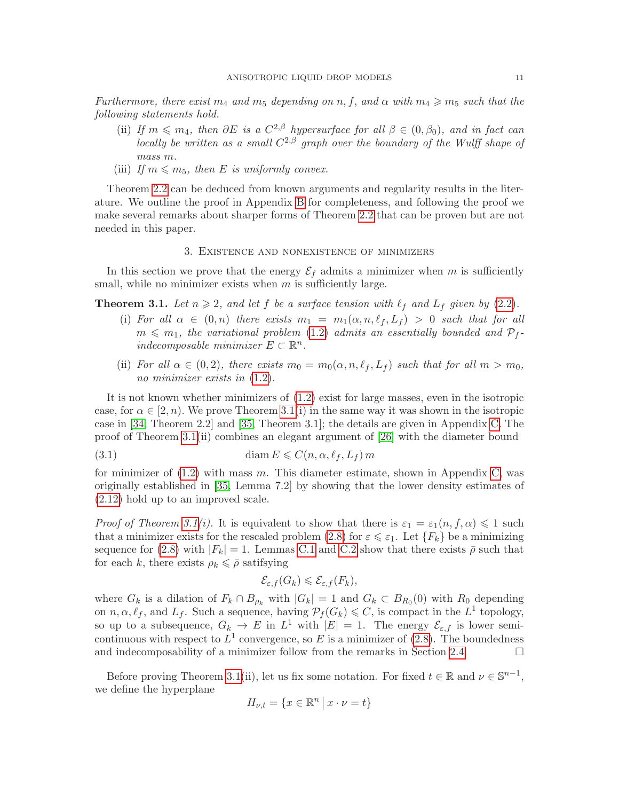Furthermore, there exist  $m_4$  and  $m_5$  depending on n, f, and  $\alpha$  with  $m_4 \geq m_5$  such that the following statements hold.

- (ii) If  $m \leq m_4$ , then  $\partial E$  is a  $C^{2,\beta}$  hypersurface for all  $\beta \in (0,\beta_0)$ , and in fact can locally be written as a small  $C^{2,\beta}$  graph over the boundary of the Wulff shape of mass m.
- (iii) If  $m \leq m_5$ , then E is uniformly convex.

Theorem [2.2](#page-9-0) can be deduced from known arguments and regularity results in the literature. We outline the proof in Appendix [B](#page-21-0) for completeness, and following the proof we make several remarks about sharper forms of Theorem [2.2](#page-9-0) that can be proven but are not needed in this paper.

### 3. Existence and nonexistence of minimizers

<span id="page-10-1"></span>In this section we prove that the energy  $\mathcal{E}_f$  admits a minimizer when m is sufficiently small, while no minimizer exists when  $m$  is sufficiently large.

<span id="page-10-0"></span>**Theorem 3.1.** Let  $n \geq 2$ , and let f be a surface tension with  $\ell_f$  and  $L_f$  given by [\(2.2\)](#page-7-5).

- (i) For all  $\alpha \in (0, n)$  there exists  $m_1 = m_1(\alpha, n, \ell_f, L_f) > 0$  such that for all  $m \leq m_1$ , the variational problem [\(1.2\)](#page-2-0) admits an essentially bounded and  $P_f$ . indecomposable minimizer  $E \subset \mathbb{R}^n$ .
- (ii) For all  $\alpha \in (0, 2)$ , there exists  $m_0 = m_0(\alpha, n, \ell_f, L_f)$  such that for all  $m > m_0$ , no minimizer exists in  $(1.2)$ .

It is not known whether minimizers of [\(1.2\)](#page-2-0) exist for large masses, even in the isotropic case, for  $\alpha \in [2, n)$ . We prove Theorem [3.1\(](#page-10-0)i) in the same way it was shown in the isotropic case in [\[34,](#page-26-1) Theorem 2.2] and [\[35,](#page-26-2) Theorem 3.1]; the details are given in Appendix [C.](#page-23-0) The proof of Theorem [3.1\(](#page-10-0)ii) combines an elegant argument of [\[26\]](#page-26-13) with the diameter bound

(3.1) 
$$
\text{diam } E \leqslant C(n, \alpha, \ell_f, L_f) m
$$

for minimizer of  $(1.2)$  with mass m. This diameter estimate, shown in Appendix [C,](#page-23-0) was originally established in [\[35,](#page-26-2) Lemma 7.2] by showing that the lower density estimates of [\(2.12\)](#page-9-1) hold up to an improved scale.

*Proof of Theorem [3.1\(](#page-10-0)i).* It is equivalent to show that there is  $\varepsilon_1 = \varepsilon_1(n, f, \alpha) \leq 1$  such that a minimizer exists for the rescaled problem [\(2.8\)](#page-8-0) for  $\varepsilon \leqslant \varepsilon_1$ . Let  $\{F_k\}$  be a minimizing sequence for [\(2.8\)](#page-8-0) with  $|F_k| = 1$ . Lemmas [C.1](#page-23-1) and [C.2](#page-23-2) show that there exists  $\bar{\rho}$  such that for each k, there exists  $\rho_k \leq \bar{\rho}$  satifsying

<span id="page-10-2"></span>
$$
\mathcal{E}_{\varepsilon,f}(G_k) \leqslant \mathcal{E}_{\varepsilon,f}(F_k),
$$

where  $G_k$  is a dilation of  $F_k \cap B_{\rho_k}$  with  $|G_k| = 1$  and  $G_k \subset B_{R_0}(0)$  with  $R_0$  depending on  $n, \alpha, \ell_f$ , and  $L_f$ . Such a sequence, having  $\mathcal{P}_f(G_k) \leqslant C$ , is compact in the  $L^1$  topology, so up to a subsequence,  $G_k \to E$  in  $L^1$  with  $|E| = 1$ . The energy  $\mathcal{E}_{\varepsilon,f}$  is lower semicontinuous with respect to  $L^1$  convergence, so E is a minimizer of [\(2.8\)](#page-8-0). The boundedness and indecomposability of a minimizer follow from the remarks in Section [2.4.](#page-8-3)  $\Box$ 

Before proving Theorem [3.1\(](#page-10-0)ii), let us fix some notation. For fixed  $t \in \mathbb{R}$  and  $\nu \in \mathbb{S}^{n-1}$ , we define the hyperplane

$$
H_{\nu,t} = \{ x \in \mathbb{R}^n \, \big| \, x \cdot \nu = t \}
$$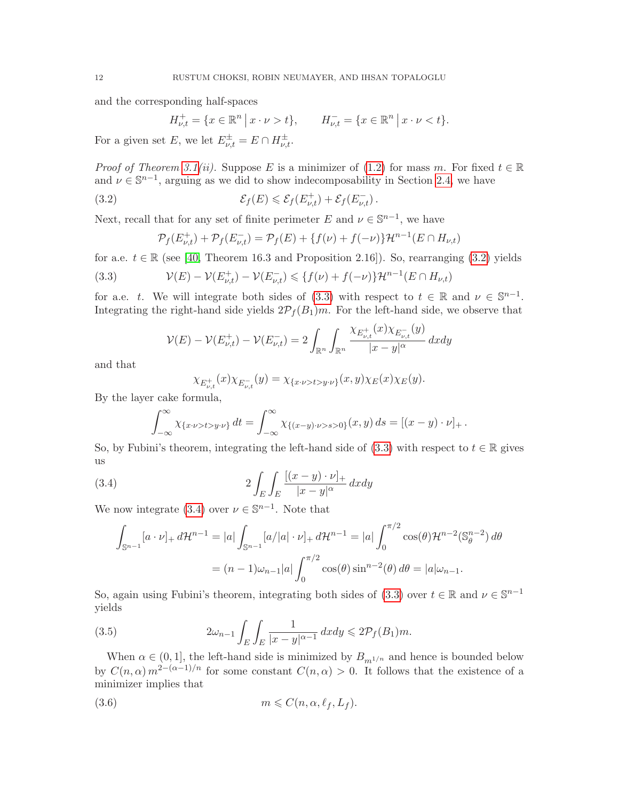and the corresponding half-spaces

$$
H_{\nu,t}^+ = \{ x \in \mathbb{R}^n \, \big| \, x \cdot \nu > t \}, \qquad H_{\nu,t}^- = \{ x \in \mathbb{R}^n \, \big| \, x \cdot \nu < t \}.
$$

For a given set E, we let  $E^{\pm}_{\nu,t} = E \cap H^{\pm}_{\nu,t}$ .

*Proof of Theorem [3.1\(](#page-10-0)ii).* Suppose E is a minimizer of [\(1.2\)](#page-2-0) for mass m. For fixed  $t \in \mathbb{R}$ and  $\nu \in \mathbb{S}^{n-1}$ , arguing as we did to show indecomposability in Section [2.4,](#page-8-3) we have

(3.2) 
$$
\mathcal{E}_f(E) \leq \mathcal{E}_f(E_{\nu,t}^+) + \mathcal{E}_f(E_{\nu,t}^-).
$$

Next, recall that for any set of finite perimeter E and  $\nu \in \mathbb{S}^{n-1}$ , we have

<span id="page-11-1"></span><span id="page-11-0"></span>
$$
\mathcal{P}_f(E_{\nu,t}^+) + \mathcal{P}_f(E_{\nu,t}^-) = \mathcal{P}_f(E) + \{f(\nu) + f(-\nu)\} \mathcal{H}^{n-1}(E \cap H_{\nu,t})
$$

for a.e.  $t \in \mathbb{R}$  (see [\[40,](#page-27-11) Theorem 16.3 and Proposition 2.16]). So, rearranging [\(3.2\)](#page-11-0) yields

(3.3) 
$$
\mathcal{V}(E) - \mathcal{V}(E_{\nu,t}^+) - \mathcal{V}(E_{\nu,t}^-) \leq \{f(\nu) + f(-\nu)\} \mathcal{H}^{n-1}(E \cap H_{\nu,t})
$$

for a.e. t. We will integrate both sides of [\(3.3\)](#page-11-1) with respect to  $t \in \mathbb{R}$  and  $\nu \in \mathbb{S}^{n-1}$ . Integrating the right-hand side yields  $2\mathcal{P}_f(B_1)m$ . For the left-hand side, we observe that

$$
\mathcal{V}(E) - \mathcal{V}(E_{\nu,t}^+) - \mathcal{V}(E_{\nu,t}^-) = 2 \int_{\mathbb{R}^n} \int_{\mathbb{R}^n} \frac{\chi_{E_{\nu,t}^+}(x) \chi_{E_{\nu,t}^-}(y)}{|x - y|^\alpha} dx dy
$$

and that

<span id="page-11-2"></span>
$$
\chi_{E_{\nu,t}^+}(x)\chi_{E_{\nu,t}^-}(y) = \chi_{\{x\cdot\nu>t>y\cdot\nu\}}(x,y)\chi_E(x)\chi_E(y).
$$

By the layer cake formula,

$$
\int_{-\infty}^{\infty} \chi_{\{x\cdot \nu > t > y\cdot \nu\}} dt = \int_{-\infty}^{\infty} \chi_{\{(x-y)\cdot \nu > s > 0\}}(x, y) ds = [(x - y)\cdot \nu]_+.
$$

So, by Fubini's theorem, integrating the left-hand side of [\(3.3\)](#page-11-1) with respect to  $t \in \mathbb{R}$  gives us

(3.4) 
$$
2\int_{E}\int_{E}\frac{[(x-y)\cdot\nu]_{+}}{|x-y|^{\alpha}}dxdy
$$

We now integrate [\(3.4\)](#page-11-2) over  $\nu \in \mathbb{S}^{n-1}$ . Note that

$$
\int_{\mathbb{S}^{n-1}} [a \cdot \nu]_+ d\mathcal{H}^{n-1} = |a| \int_{\mathbb{S}^{n-1}} [a/|a| \cdot \nu]_+ d\mathcal{H}^{n-1} = |a| \int_0^{\pi/2} \cos(\theta) \mathcal{H}^{n-2}(\mathbb{S}_{\theta}^{n-2}) d\theta
$$

$$
= (n-1)\omega_{n-1}|a| \int_0^{\pi/2} \cos(\theta) \sin^{n-2}(\theta) d\theta = |a|\omega_{n-1}.
$$

So, again using Fubini's theorem, integrating both sides of [\(3.3\)](#page-11-1) over  $t \in \mathbb{R}$  and  $\nu \in \mathbb{S}^{n-1}$ yields

<span id="page-11-3"></span>(3.5) 
$$
2\omega_{n-1} \int_E \int_E \frac{1}{|x-y|^{\alpha-1}} dx dy \leq 2\mathcal{P}_f(B_1)m.
$$

When  $\alpha \in (0, 1]$ , the left-hand side is minimized by  $B_{m1/n}$  and hence is bounded below by  $C(n,\alpha) m^{2-(\alpha-1)/n}$  for some constant  $C(n,\alpha) > 0$ . It follows that the existence of a minimizer implies that

<span id="page-11-4"></span>
$$
(3.6) \t\t m \leqslant C(n, \alpha, \ell_f, L_f).
$$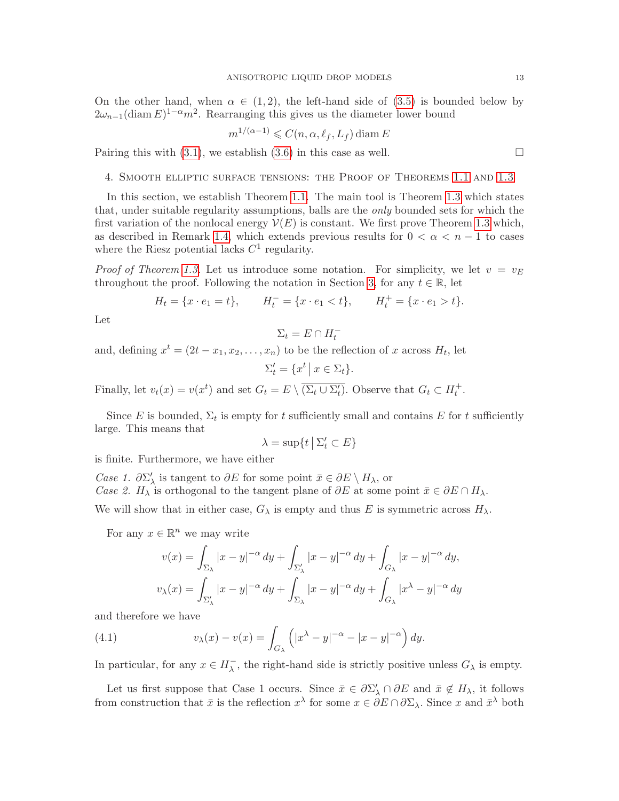On the other hand, when  $\alpha \in (1,2)$ , the left-hand side of  $(3.5)$  is bounded below by  $(2\omega_{n-1}(\text{diam } E)^{1-\alpha}m^2)$ . Rearranging this gives us the diameter lower bound

$$
m^{1/(\alpha-1)} \leqslant C(n, \alpha, \ell_f, L_f) \operatorname{diam} E
$$

Pairing this with [\(3.1\)](#page-10-2), we establish [\(3.6\)](#page-11-4) in this case as well.  $\Box$ 

<span id="page-12-0"></span>4. Smooth elliptic surface tensions: the Proof of Theorems [1.1](#page-3-0) and [1.3](#page-4-0)

In this section, we establish Theorem [1.1.](#page-3-0) The main tool is Theorem [1.3](#page-4-0) which states that, under suitable regularity assumptions, balls are the only bounded sets for which the first variation of the nonlocal energy  $\mathcal{V}(E)$  is constant. We first prove Theorem [1.3](#page-4-0) which, as described in Remark [1.4,](#page-4-1) which extends previous results for  $0 < \alpha < n - 1$  to cases where the Riesz potential lacks  $C^1$  regularity.

*Proof of Theorem [1.3.](#page-4-0)* Let us introduce some notation. For simplicity, we let  $v = v<sub>E</sub>$ throughout the proof. Following the notation in Section [3,](#page-10-1) for any  $t \in \mathbb{R}$ , let

$$
H_t = \{x \cdot e_1 = t\}, \qquad H_t^- = \{x \cdot e_1 < t\}, \qquad H_t^+ = \{x \cdot e_1 > t\}.
$$

Let

$$
\Sigma_t = E \cap H_t^-
$$

and, defining  $x^t = (2t - x_1, x_2, \dots, x_n)$  to be the reflection of x across  $H_t$ , let

$$
\Sigma'_t = \{ x^t \, \big| \, x \in \Sigma_t \}.
$$

Finally, let  $v_t(x) = v(x^t)$  and set  $G_t = E \setminus \overline{(\Sigma_t \cup \Sigma'_t)}$ . Observe that  $G_t \subset H_t^+$ .

Since E is bounded,  $\Sigma_t$  is empty for t sufficiently small and contains E for t sufficiently large. This means that

$$
\lambda = \sup\{t \mid \Sigma'_t \subset E\}
$$

is finite. Furthermore, we have either

*Case 1.*  $\partial \Sigma'_{\lambda}$  is tangent to  $\partial E$  for some point  $\bar{x} \in \partial E \setminus H_{\lambda}$ , or Case 2.  $H_{\lambda}$  is orthogonal to the tangent plane of  $\partial E$  at some point  $\bar{x} \in \partial E \cap H_{\lambda}$ .

We will show that in either case,  $G_{\lambda}$  is empty and thus E is symmetric across  $H_{\lambda}$ .

For any  $x \in \mathbb{R}^n$  we may write

<span id="page-12-1"></span>
$$
v(x) = \int_{\Sigma_{\lambda}} |x - y|^{-\alpha} dy + \int_{\Sigma_{\lambda}'} |x - y|^{-\alpha} dy + \int_{G_{\lambda}} |x - y|^{-\alpha} dy,
$$
  

$$
v_{\lambda}(x) = \int_{\Sigma_{\lambda}'} |x - y|^{-\alpha} dy + \int_{\Sigma_{\lambda}} |x - y|^{-\alpha} dy + \int_{G_{\lambda}} |x^{\lambda} - y|^{-\alpha} dy
$$

and therefore we have

(4.1) 
$$
v_{\lambda}(x) - v(x) = \int_{G_{\lambda}} \left( |x^{\lambda} - y|^{-\alpha} - |x - y|^{-\alpha} \right) dy.
$$

In particular, for any  $x \in H_{\lambda}^ \overline{\lambda}$ , the right-hand side is strictly positive unless  $G_{\lambda}$  is empty.

Let us first suppose that Case 1 occurs. Since  $\bar{x} \in \partial \Sigma'_{\lambda} \cap \partial E$  and  $\bar{x} \notin H_{\lambda}$ , it follows from construction that  $\bar{x}$  is the reflection  $x^{\lambda}$  for some  $x \in \partial E \cap \partial \Sigma_{\lambda}$ . Since x and  $\bar{x}^{\lambda}$  both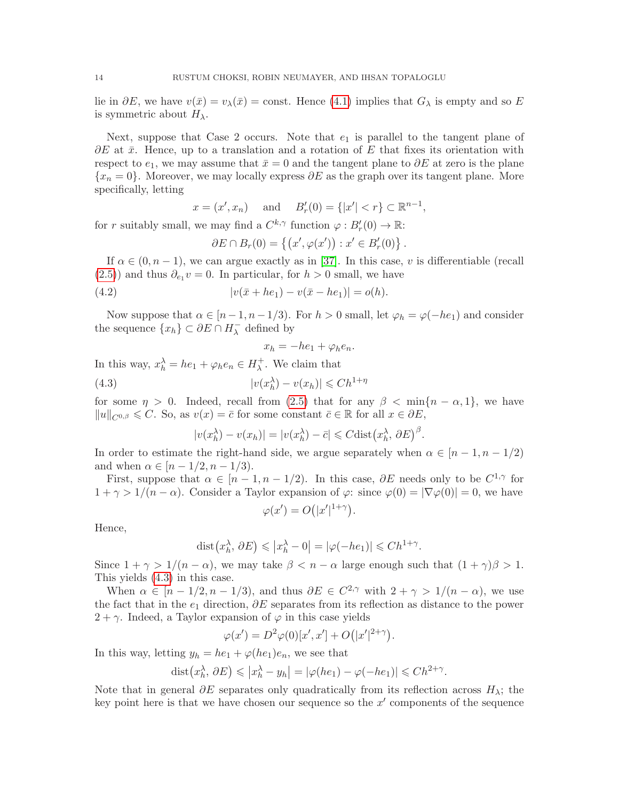lie in  $\partial E$ , we have  $v(\bar{x}) = v_{\lambda}(\bar{x}) = \text{const.}$  Hence [\(4.1\)](#page-12-1) implies that  $G_{\lambda}$  is empty and so E is symmetric about  $H_{\lambda}$ .

Next, suppose that Case 2 occurs. Note that  $e_1$  is parallel to the tangent plane of  $\partial E$  at  $\bar{x}$ . Hence, up to a translation and a rotation of E that fixes its orientation with respect to  $e_1$ , we may assume that  $\bar{x} = 0$  and the tangent plane to  $\partial E$  at zero is the plane  ${x_n = 0}$ . Moreover, we may locally express  $\partial E$  as the graph over its tangent plane. More specifically, letting

$$
x = (x', x_n)
$$
 and  $B'_r(0) = \{|x'| < r\} \subset \mathbb{R}^{n-1}$ ,

for r suitably small, we may find a  $C^{k,\gamma}$  function  $\varphi: B'_r(0) \to \mathbb{R}$ :

<span id="page-13-1"></span>
$$
\partial E \cap B_r(0) = \left\{ \left( x', \varphi(x') \right) : x' \in B'_r(0) \right\}.
$$

If  $\alpha \in (0, n-1)$ , we can argue exactly as in [\[37\]](#page-27-4). In this case, v is differentiable (recall  $(2.5)$  and thus  $\partial_{e_1} v = 0$ . In particular, for  $h > 0$  small, we have

(4.2) 
$$
|v(\bar{x} + he_1) - v(\bar{x} - he_1)| = o(h).
$$

Now suppose that  $\alpha \in [n-1, n-1/3)$ . For  $h > 0$  small, let  $\varphi_h = \varphi(-he_1)$  and consider the sequence  $\{x_h\} \subset \partial E \cap H_{\lambda}^ \lambda$  defined by

<span id="page-13-0"></span>
$$
x_h = -he_1 + \varphi_h e_n.
$$

In this way,  $x_h^{\lambda} = he_1 + \varphi_h e_n \in H_{\lambda}^+$  $\lambda^+$ . We claim that

(4.3) 
$$
|v(x_h^{\lambda}) - v(x_h)| \leq C h^{1+\eta}
$$

for some  $\eta > 0$ . Indeed, recall from [\(2.5\)](#page-7-0) that for any  $\beta < \min\{n - \alpha, 1\}$ , we have  $||u||_{C^{0,\beta}} \leq C$ . So, as  $v(x) = \overline{c}$  for some constant  $\overline{c} \in \mathbb{R}$  for all  $x \in \partial E$ ,

$$
|v(x_h^{\lambda}) - v(x_h)| = |v(x_h^{\lambda}) - \bar{c}| \leq C \text{dist}\big(x_h^{\lambda}, \partial E\big)^{\beta}.
$$

In order to estimate the right-hand side, we argue separately when  $\alpha \in [n-1, n-1/2)$ and when  $\alpha \in [n-1/2, n-1/3)$ .

First, suppose that  $\alpha \in [n-1, n-1/2)$ . In this case,  $\partial E$  needs only to be  $C^{1,\gamma}$  for  $1 + \gamma > 1/(n - \alpha)$ . Consider a Taylor expansion of  $\varphi$ : since  $\varphi(0) = |\nabla \varphi(0)| = 0$ , we have

$$
\varphi(x') = O(|x'|^{1+\gamma}).
$$

Hence,

$$
dist(x_h^{\lambda}, \partial E) \le |x_h^{\lambda} - 0| = |\varphi(-he_1)| \le Ch^{1+\gamma}.
$$

Since  $1 + \gamma > 1/(n - \alpha)$ , we may take  $\beta < n - \alpha$  large enough such that  $(1 + \gamma)\beta > 1$ . This yields [\(4.3\)](#page-13-0) in this case.

When  $\alpha \in [n-1/2, n-1/3)$ , and thus  $\partial E \in C^{2,\gamma}$  with  $2+\gamma > 1/(n-\alpha)$ , we use the fact that in the  $e_1$  direction,  $\partial E$  separates from its reflection as distance to the power  $2 + \gamma$ . Indeed, a Taylor expansion of  $\varphi$  in this case yields

$$
\varphi(x') = D^2 \varphi(0)[x', x'] + O(|x'|^{2+\gamma}).
$$

In this way, letting  $y_h = he_1 + \varphi(he_1)e_n$ , we see that

$$
dist(x_h^{\lambda}, \partial E) \le |x_h^{\lambda} - y_h| = |\varphi(he_1) - \varphi(-he_1)| \le Ch^{2+\gamma}.
$$

Note that in general  $\partial E$  separates only quadratically from its reflection across  $H_{\lambda}$ ; the key point here is that we have chosen our sequence so the  $x'$  components of the sequence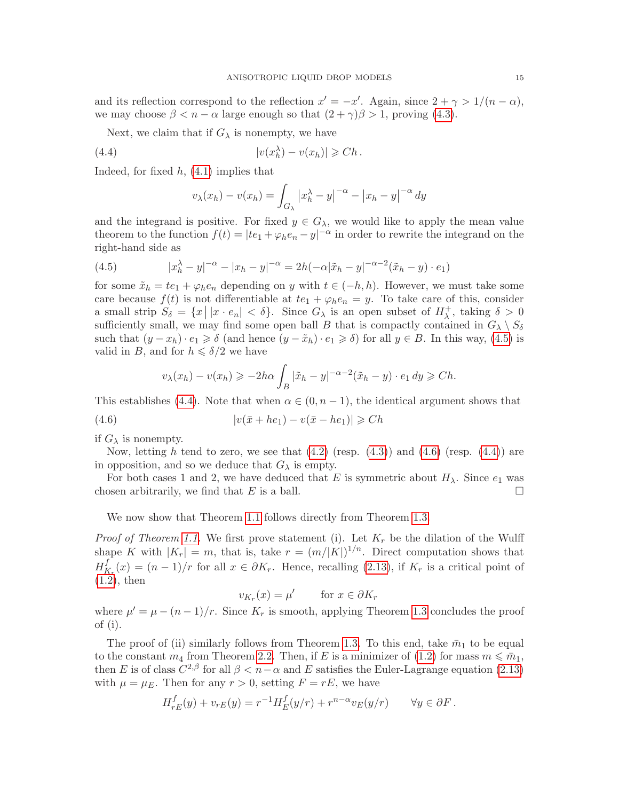and its reflection correspond to the reflection  $x' = -x'$ . Again, since  $2 + \gamma > 1/(n - \alpha)$ , we may choose  $\beta < n - \alpha$  large enough so that  $(2 + \gamma)\beta > 1$ , proving [\(4.3\)](#page-13-0).

Next, we claim that if  $G_{\lambda}$  is nonempty, we have

(4.4) 
$$
|v(x_h^{\lambda}) - v(x_h)| \geqslant Ch.
$$

Indeed, for fixed  $h$ ,  $(4.1)$  implies that

<span id="page-14-1"></span>
$$
v_{\lambda}(x_h) - v(x_h) = \int_{G_{\lambda}} |x_h^{\lambda} - y|^{-\alpha} - |x_h - y|^{-\alpha} dy
$$

and the integrand is positive. For fixed  $y \in G_\lambda$ , we would like to apply the mean value theorem to the function  $f(t) = |te_1 + \varphi_h e_n - y|^{-\alpha}$  in order to rewrite the integrand on the right-hand side as

<span id="page-14-0"></span>(4.5) 
$$
|x_h^{\lambda} - y|^{-\alpha} - |x_h - y|^{-\alpha} = 2h(-\alpha|\tilde{x}_h - y|^{-\alpha - 2}(\tilde{x}_h - y) \cdot e_1)
$$

for some  $\tilde{x}_h = te_1 + \varphi_h e_n$  depending on y with  $t \in (-h, h)$ . However, we must take some care because  $f(t)$  is not differentiable at  $te_1 + \varphi_h e_n = y$ . To take care of this, consider a small strip  $S_{\delta} = \{x \mid |x \cdot e_n| < \delta\}$ . Since  $G_{\lambda}$  is an open subset of  $H_{\lambda}^+$  $\lambda^+$ , taking  $\delta > 0$ sufficiently small, we may find some open ball B that is compactly contained in  $G_{\lambda} \setminus S_{\delta}$ such that  $(y - x_h) \cdot e_1 \geq \delta$  (and hence  $(y - \tilde{x}_h) \cdot e_1 \geq \delta$ ) for all  $y \in B$ . In this way, [\(4.5\)](#page-14-0) is valid in B, and for  $h \leq \delta/2$  we have

<span id="page-14-2"></span>
$$
v_{\lambda}(x_h) - v(x_h) \ge -2h\alpha \int_B |\tilde{x}_h - y|^{-\alpha - 2} (\tilde{x}_h - y) \cdot e_1 dy \ge Ch.
$$

This establishes [\(4.4\)](#page-14-1). Note that when  $\alpha \in (0, n-1)$ , the identical argument shows that

$$
(4.6) \t\t\t |v(\bar{x} + he_1) - v(\bar{x} - he_1)| \geq Ch
$$

if  $G_{\lambda}$  is nonempty.

Now, letting h tend to zero, we see that  $(4.2)$  (resp.  $(4.3)$ ) and  $(4.6)$  (resp.  $(4.4)$ ) are in opposition, and so we deduce that  $G_{\lambda}$  is empty.

For both cases 1 and 2, we have deduced that E is symmetric about  $H_{\lambda}$ . Since  $e_1$  was chosen arbitrarily, we find that E is a ball.

We now show that Theorem [1.1](#page-3-0) follows directly from Theorem [1.3.](#page-4-0)

*Proof of Theorem [1.1.](#page-3-0)* We first prove statement (i). Let  $K_r$  be the dilation of the Wulff shape K with  $|K_r| = m$ , that is, take  $r = (m/|K|)^{1/n}$ . Direct computation shows that  $H^f_{\bar k}$  $K_r(x) = (n-1)/r$  for all  $x \in \partial K_r$ . Hence, recalling [\(2.13\)](#page-9-2), if  $K_r$  is a critical point of  $(1.2)$ , then

$$
v_{K_r}(x) = \mu' \qquad \text{for } x \in \partial K_r
$$

where  $\mu' = \mu - (n-1)/r$ . Since  $K_r$  is smooth, applying Theorem [1.3](#page-4-0) concludes the proof of (i).

The proof of (ii) similarly follows from Theorem [1.3.](#page-4-0) To this end, take  $\bar{m}_1$  to be equal to the constant  $m_4$  from Theorem [2.2.](#page-9-0) Then, if E is a minimizer of [\(1.2\)](#page-2-0) for mass  $m \leq \bar{m}_1$ , then E is of class  $C^{2,\beta}$  for all  $\beta < n-\alpha$  and E satisfies the Euler-Lagrange equation [\(2.13\)](#page-9-2) with  $\mu = \mu_E$ . Then for any  $r > 0$ , setting  $F = rE$ , we have

$$
H_{rE}^f(y) + v_{rE}(y) = r^{-1} H_E^f(y/r) + r^{n-\alpha} v_E(y/r) \qquad \forall y \in \partial F.
$$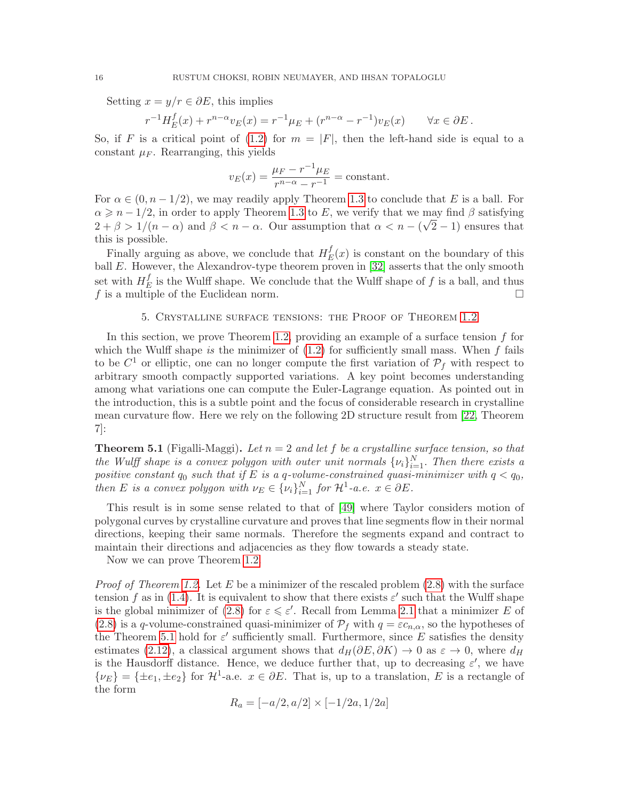Setting  $x = y/r \in \partial E$ , this implies

$$
r^{-1}H_E^f(x) + r^{n-\alpha}v_E(x) = r^{-1}\mu_E + (r^{n-\alpha} - r^{-1})v_E(x) \qquad \forall x \in \partial E.
$$

So, if F is a critical point of [\(1.2\)](#page-2-0) for  $m = |F|$ , then the left-hand side is equal to a constant  $\mu_F$ . Rearranging, this yields

$$
v_E(x) = \frac{\mu_F - r^{-1}\mu_E}{r^{n-\alpha} - r^{-1}} = \text{constant}.
$$

For  $\alpha \in (0, n-1/2)$ , we may readily apply Theorem [1.3](#page-4-0) to conclude that E is a ball. For  $\alpha \geqslant n-1/2$ , in order to apply Theorem [1.3](#page-4-0) to E, we verify that we may find  $\beta$  satisfying  $2 + \beta > 1/(n - \alpha)$  and  $\beta < n - \alpha$ . Our assumption that  $\alpha < n - (\sqrt{2} - 1)$  ensures that this is possible.

Finally arguing as above, we conclude that  $H_F^f$  $E^J(x)$  is constant on the boundary of this ball  $E$ . However, the Alexandrov-type theorem proven in [\[32\]](#page-26-10) asserts that the only smooth set with  $H_F^f$  $E$  is the Wulff shape. We conclude that the Wulff shape of f is a ball, and thus f is a multiple of the Euclidean norm.

# 5. Crystalline surface tensions: the Proof of Theorem [1.2](#page-3-1)

<span id="page-15-1"></span>In this section, we prove Theorem [1.2,](#page-3-1) providing an example of a surface tension  $f$  for which the Wulff shape is the minimizer of  $(1.2)$  for sufficiently small mass. When f fails to be  $C^1$  or elliptic, one can no longer compute the first variation of  $\mathcal{P}_f$  with respect to arbitrary smooth compactly supported variations. A key point becomes understanding among what variations one can compute the Euler-Lagrange equation. As pointed out in the introduction, this is a subtle point and the focus of considerable research in crystalline mean curvature flow. Here we rely on the following 2D structure result from [\[22,](#page-26-14) Theorem 7]:

<span id="page-15-0"></span>**Theorem 5.1** (Figalli-Maggi). Let  $n = 2$  and let f be a crystalline surface tension, so that the Wulff shape is a convex polygon with outer unit normals  $\{\nu_i\}_{i=1}^N$ . Then there exists a positive constant  $q_0$  such that if E is a q-volume-constrained quasi-minimizer with  $q < q_0$ , then E is a convex polygon with  $\nu_E \in {\{\nu_i\}}_{i=1}^N$  for  $\mathcal{H}^1$ -a.e.  $x \in \partial E$ .

This result is in some sense related to that of [\[49\]](#page-27-7) where Taylor considers motion of polygonal curves by crystalline curvature and proves that line segments flow in their normal directions, keeping their same normals. Therefore the segments expand and contract to maintain their directions and adjacencies as they flow towards a steady state.

Now we can prove Theorem [1.2.](#page-3-1)

*Proof of Theorem [1.2.](#page-3-1)* Let E be a minimizer of the rescaled problem  $(2.8)$  with the surface tension f as in [\(1.4\)](#page-3-2). It is equivalent to show that there exists  $\varepsilon'$  such that the Wulff shape is the global minimizer of [\(2.8\)](#page-8-0) for  $\varepsilon \leq \varepsilon'$ . Recall from Lemma [2.1](#page-8-2) that a minimizer E of [\(2.8\)](#page-8-0) is a q-volume-constrained quasi-minimizer of  $\mathcal{P}_f$  with  $q = \varepsilon c_{n,\alpha}$ , so the hypotheses of the Theorem [5.1](#page-15-0) hold for  $\varepsilon'$  sufficiently small. Furthermore, since E satisfies the density estimates [\(2.12\)](#page-9-1), a classical argument shows that  $d_H(\partial E, \partial K) \to 0$  as  $\varepsilon \to 0$ , where  $d_H$ is the Hausdorff distance. Hence, we deduce further that, up to decreasing  $\varepsilon'$ , we have  $\{\nu_E\} = {\pm e_1, \pm e_2}$  for  $\mathcal{H}^1$ -a.e.  $x \in \partial E$ . That is, up to a translation, E is a rectangle of the form

$$
R_a = [-a/2, a/2] \times [-1/2a, 1/2a]
$$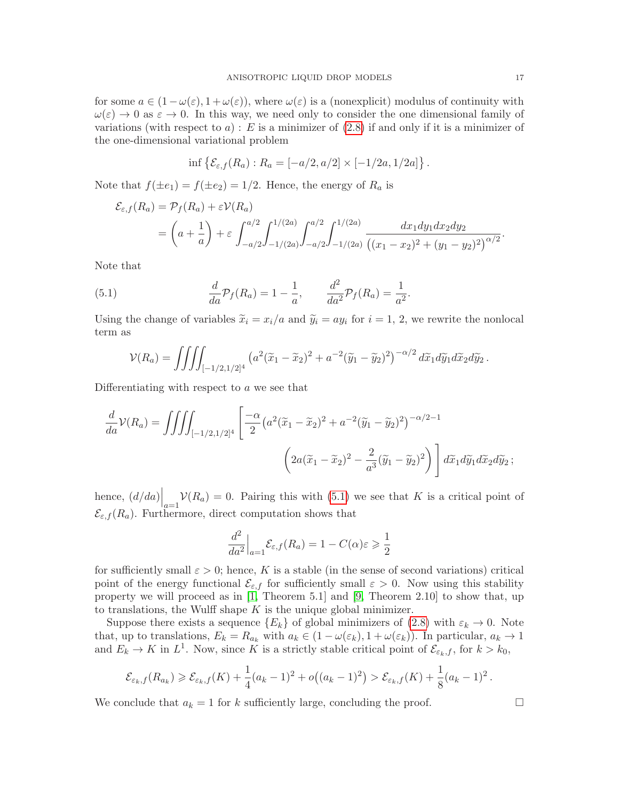for some  $a \in (1-\omega(\varepsilon), 1+\omega(\varepsilon))$ , where  $\omega(\varepsilon)$  is a (nonexplicit) modulus of continuity with  $\omega(\varepsilon) \to 0$  as  $\varepsilon \to 0$ . In this way, we need only to consider the one dimensional family of variations (with respect to  $a)$ : E is a minimizer of  $(2.8)$  if and only if it is a minimizer of the one-dimensional variational problem

$$
\inf \{ \mathcal{E}_{\varepsilon,f}(R_a) : R_a = [-a/2, a/2] \times [-1/2a, 1/2a] \}.
$$

Note that  $f(\pm e_1) = f(\pm e_2) = 1/2$ . Hence, the energy of  $R_a$  is

$$
\mathcal{E}_{\varepsilon,f}(R_a) = \mathcal{P}_f(R_a) + \varepsilon \mathcal{V}(R_a)
$$
  
=  $\left(a + \frac{1}{a}\right) + \varepsilon \int_{-a/2}^{a/2} \int_{-1/(2a)}^{1/(2a)} \int_{-a/2}^{a/2} \int_{-1/(2a)}^{1/(2a)} \frac{dx_1 dy_1 dx_2 dy_2}{((x_1 - x_2)^2 + (y_1 - y_2)^2)^{\alpha/2}}.$ 

Note that

(5.1) 
$$
\frac{d}{da}\mathcal{P}_f(R_a) = 1 - \frac{1}{a}, \qquad \frac{d^2}{da^2}\mathcal{P}_f(R_a) = \frac{1}{a^2}.
$$

Using the change of variables  $\tilde{x}_i = x_i/a$  and  $\tilde{y}_i = ay_i$  for  $i = 1, 2$ , we rewrite the nonlocal term as

<span id="page-16-0"></span>
$$
\mathcal{V}(R_a) = \iiint_{[-1/2,1/2]^4} \left( a^2 (\widetilde{x}_1 - \widetilde{x}_2)^2 + a^{-2} (\widetilde{y}_1 - \widetilde{y}_2)^2 \right)^{-\alpha/2} d\widetilde{x}_1 d\widetilde{y}_1 d\widetilde{x}_2 d\widetilde{y}_2.
$$

Differentiating with respect to a we see that

$$
\frac{d}{da}\mathcal{V}(R_a) = \iiint_{[-1/2,1/2]^4} \left[ \frac{-\alpha}{2} \left( a^2 (\widetilde{x}_1 - \widetilde{x}_2)^2 + a^{-2} (\widetilde{y}_1 - \widetilde{y}_2)^2 \right)^{-\alpha/2 - 1} \right]
$$

$$
\left( 2a(\widetilde{x}_1 - \widetilde{x}_2)^2 - \frac{2}{a^3} (\widetilde{y}_1 - \widetilde{y}_2)^2 \right) \right] d\widetilde{x}_1 d\widetilde{y}_1 d\widetilde{x}_2 d\widetilde{y}_2 ;
$$

hence,  $(d/da)\Big|_{a=1} \mathcal{V}(R_a) = 0$ . Pairing this with [\(5.1\)](#page-16-0) we see that K is a critical point of  $\mathcal{E}_{\varepsilon,f}(R_a)$ . Furthermore, direct computation shows that

$$
\frac{d^2}{da^2}\Big|_{a=1} \mathcal{E}_{\varepsilon,f}(R_a) = 1 - C(\alpha)\varepsilon \geqslant \frac{1}{2}
$$

for sufficiently small  $\varepsilon > 0$ ; hence, K is a stable (in the sense of second variations) critical point of the energy functional  $\mathcal{E}_{\varepsilon,f}$  for sufficiently small  $\varepsilon > 0$ . Now using this stability property we will proceed as in [\[1,](#page-25-13) Theorem 5.1] and [\[9,](#page-25-2) Theorem 2.10] to show that, up to translations, the Wulff shape  $K$  is the unique global minimizer.

Suppose there exists a sequence  ${E_k}$  of global minimizers of [\(2.8\)](#page-8-0) with  $\varepsilon_k \to 0$ . Note that, up to translations,  $E_k = R_{a_k}$  with  $a_k \in (1 - \omega(\varepsilon_k), 1 + \omega(\varepsilon_k))$ . In particular,  $a_k \to 1$ and  $E_k \to K$  in  $L^1$ . Now, since K is a strictly stable critical point of  $\mathcal{E}_{\varepsilon_k,f}$ , for  $k > k_0$ ,

$$
\mathcal{E}_{\varepsilon_k,f}(R_{a_k})\geqslant \mathcal{E}_{\varepsilon_k,f}(K)+\frac{1}{4}(a_k-1)^2+o\big((a_k-1)^2\big)>\mathcal{E}_{\varepsilon_k,f}(K)+\frac{1}{8}(a_k-1)^2.
$$

We conclude that  $a_k = 1$  for k sufficiently large, concluding the proof.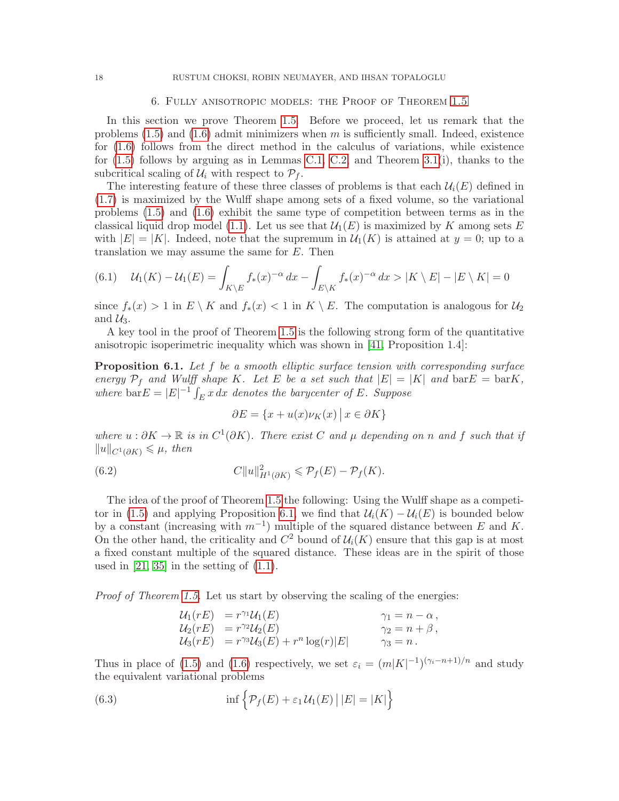#### 6. Fully anisotropic models: the Proof of Theorem [1.5](#page-6-0)

<span id="page-17-0"></span>In this section we prove Theorem [1.5.](#page-6-0) Before we proceed, let us remark that the problems  $(1.5)$  and  $(1.6)$  admit minimizers when m is sufficiently small. Indeed, existence for [\(1.6\)](#page-5-0) follows from the direct method in the calculus of variations, while existence for  $(1.5)$  follows by arguing as in Lemmas [C.1,](#page-23-1) [C.2,](#page-23-2) and Theorem [3.1\(](#page-10-0)i), thanks to the subcritical scaling of  $\mathcal{U}_i$  with respect to  $\mathcal{P}_f$ .

The interesting feature of these three classes of problems is that each  $\mathcal{U}_i(E)$  defined in [\(1.7\)](#page-5-1) is maximized by the Wulff shape among sets of a fixed volume, so the variational problems [\(1.5\)](#page-5-2) and [\(1.6\)](#page-5-0) exhibit the same type of competition between terms as in the classical liquid drop model [\(1.1\)](#page-0-0). Let us see that  $\mathcal{U}_1(E)$  is maximized by K among sets E with  $|E| = |K|$ . Indeed, note that the supremum in  $\mathcal{U}_1(K)$  is attained at  $y = 0$ ; up to a translation we may assume the same for E. Then

<span id="page-17-4"></span>
$$
(6.1) \quad \mathcal{U}_1(K) - \mathcal{U}_1(E) = \int_{K \backslash E} f_*(x)^{-\alpha} dx - \int_{E \backslash K} f_*(x)^{-\alpha} dx > |K \backslash E| - |E \backslash K| = 0
$$

since  $f_*(x) > 1$  in  $E \setminus K$  and  $f_*(x) < 1$  in  $K \setminus E$ . The computation is analogous for  $\mathcal{U}_2$ and  $\mathcal{U}_3$ .

A key tool in the proof of Theorem [1.5](#page-6-0) is the following strong form of the quantitative anisotropic isoperimetric inequality which was shown in [\[41,](#page-27-8) Proposition 1.4]:

<span id="page-17-1"></span>**Proposition 6.1.** Let f be a smooth elliptic surface tension with corresponding surface energy  $\mathcal{P}_f$  and Wulff shape K. Let E be a set such that  $|E| = |K|$  and  $\text{bar } E = \text{bar } K$ , where  $bar E = |E|^{-1} \int_E x \, dx$  denotes the barycenter of E. Suppose

<span id="page-17-3"></span>
$$
\partial E = \{x + u(x)\nu_K(x) \, \big| \, x \in \partial K\}
$$

where  $u : \partial K \to \mathbb{R}$  is in  $C^1(\partial K)$ . There exist C and  $\mu$  depending on n and f such that if  $||u||_{C^{1}(\partial K)} \leq \mu$ , then

(6.2) 
$$
C||u||_{H^1(\partial K)}^2 \leqslant \mathcal{P}_f(E) - \mathcal{P}_f(K).
$$

The idea of the proof of Theorem [1.5](#page-6-0) the following: Using the Wulff shape as a competi-tor in [\(1.5\)](#page-5-2) and applying Proposition [6.1,](#page-17-1) we find that  $\mathcal{U}_i(K) - \mathcal{U}_i(E)$  is bounded below by a constant (increasing with  $m^{-1}$ ) multiple of the squared distance between E and K. On the other hand, the criticality and  $C^2$  bound of  $\mathcal{U}_i(K)$  ensure that this gap is at most a fixed constant multiple of the squared distance. These ideas are in the spirit of those used in  $[21, 35]$  $[21, 35]$  in the setting of  $(1.1)$ .

Proof of Theorem [1.5.](#page-6-0) Let us start by observing the scaling of the energies:

<span id="page-17-2"></span>
$$
\begin{array}{lll}\n\mathcal{U}_1(rE) & = r^{\gamma_1}\mathcal{U}_1(E) & \gamma_1 = n - \alpha, \\
\mathcal{U}_2(rE) & = r^{\gamma_2}\mathcal{U}_2(E) & \gamma_2 = n + \beta, \\
\mathcal{U}_3(rE) & = r^{\gamma_3}\mathcal{U}_3(E) + r^n \log(r)|E| & \gamma_3 = n.\n\end{array}
$$

Thus in place of [\(1.5\)](#page-5-2) and [\(1.6\)](#page-5-0) respectively, we set  $\varepsilon_i = (m|K|^{-1})^{(\gamma_i - n + 1)/n}$  and study the equivalent variational problems

(6.3) 
$$
\inf \left\{ \mathcal{P}_f(E) + \varepsilon_1 \mathcal{U}_1(E) \, \big| \, |E| = |K| \right\}
$$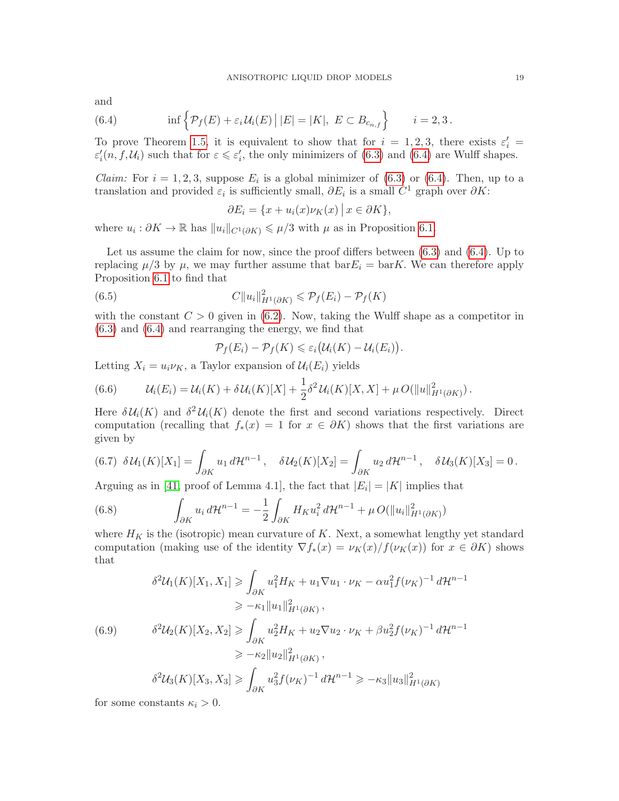and

<span id="page-18-0"></span>(6.4) 
$$
\inf \left\{ \mathcal{P}_f(E) + \varepsilon_i \mathcal{U}_i(E) \, \big| \, |E| = |K|, \ E \subset B_{c_{n,f}} \right\} \qquad i = 2,3.
$$

To prove Theorem [1.5,](#page-6-0) it is equivalent to show that for  $i = 1, 2, 3$ , there exists  $\varepsilon_i' =$  $\varepsilon'_i(n, f, \mathcal{U}_i)$  such that for  $\varepsilon \leqslant \varepsilon'_i$ , the only minimizers of [\(6.3\)](#page-17-2) and [\(6.4\)](#page-18-0) are Wulff shapes.

*Claim:* For  $i = 1, 2, 3$ , suppose  $E_i$  is a global minimizer of [\(6.3\)](#page-17-2) or [\(6.4\)](#page-18-0). Then, up to a translation and provided  $\varepsilon_i$  is sufficiently small,  $\partial E_i$  is a small  $C^1$  graph over  $\partial K$ :

$$
\partial E_i = \{ x + u_i(x) \nu_K(x) \mid x \in \partial K \},\
$$

where  $u_i : \partial K \to \mathbb{R}$  has  $||u_i||_{C^1(\partial K)} \leq \mu/3$  with  $\mu$  as in Proposition [6.1.](#page-17-1)

Let us assume the claim for now, since the proof differs between [\(6.3\)](#page-17-2) and [\(6.4\)](#page-18-0). Up to replacing  $\mu/3$  by  $\mu$ , we may further assume that  $bar E_i = \text{bar}K$ . We can therefore apply Proposition [6.1](#page-17-1) to find that

(6.5) 
$$
C||u_i||_{H^1(\partial K)}^2 \leqslant \mathcal{P}_f(E_i) - \mathcal{P}_f(K)
$$

with the constant  $C > 0$  given in [\(6.2\)](#page-17-3). Now, taking the Wulff shape as a competitor in [\(6.3\)](#page-17-2) and [\(6.4\)](#page-18-0) and rearranging the energy, we find that

<span id="page-18-5"></span>
$$
\mathcal{P}_f(E_i) - \mathcal{P}_f(K) \leq \varepsilon_i \big( \mathcal{U}_i(K) - \mathcal{U}_i(E_i) \big).
$$

Letting  $X_i = u_i \nu_K$ , a Taylor expansion of  $\mathcal{U}_i(E_i)$  yields

<span id="page-18-1"></span>(6.6) 
$$
\mathcal{U}_i(E_i) = \mathcal{U}_i(K) + \delta \mathcal{U}_i(K)[X] + \frac{1}{2} \delta^2 \mathcal{U}_i(K)[X, X] + \mu O(\|u\|_{H^1(\partial K)}^2).
$$

Here  $\delta \mathcal{U}_i(K)$  and  $\delta^2 \mathcal{U}_i(K)$  denote the first and second variations respectively. Direct computation (recalling that  $f_*(x) = 1$  for  $x \in \partial K$ ) shows that the first variations are given by

<span id="page-18-2"></span>
$$
(6.7) \delta U_1(K)[X_1] = \int_{\partial K} u_1 d\mathcal{H}^{n-1}, \quad \delta U_2(K)[X_2] = \int_{\partial K} u_2 d\mathcal{H}^{n-1}, \quad \delta U_3(K)[X_3] = 0.
$$

Arguing as in [\[41,](#page-27-8) proof of Lemma 4.1], the fact that  $|E_i| = |K|$  implies that

<span id="page-18-3"></span>(6.8) 
$$
\int_{\partial K} u_i d\mathcal{H}^{n-1} = -\frac{1}{2} \int_{\partial K} H_K u_i^2 d\mathcal{H}^{n-1} + \mu O(\|u_i\|_{H^1(\partial K)}^2)
$$

where  $H_K$  is the (isotropic) mean curvature of K. Next, a somewhat lengthy yet standard computation (making use of the identity  $\nabla f_*(x) = \nu_K(x)/f(\nu_K(x))$  for  $x \in \partial K$ ) shows that

<span id="page-18-4"></span>
$$
\delta^{2}U_{1}(K)[X_{1}, X_{1}] \geq \int_{\partial K} u_{1}^{2}H_{K} + u_{1}\nabla u_{1} \cdot \nu_{K} - \alpha u_{1}^{2}f(\nu_{K})^{-1} d\mathcal{H}^{n-1}
$$
  
\n
$$
\geq -\kappa_{1}||u_{1}||_{H^{1}(\partial K)}^{2},
$$
  
\n(6.9) 
$$
\delta^{2}U_{2}(K)[X_{2}, X_{2}] \geq \int_{\partial K} u_{2}^{2}H_{K} + u_{2}\nabla u_{2} \cdot \nu_{K} + \beta u_{2}^{2}f(\nu_{K})^{-1} d\mathcal{H}^{n-1}
$$
  
\n
$$
\geq -\kappa_{2}||u_{2}||_{H^{1}(\partial K)}^{2},
$$
  
\n
$$
\delta^{2}U_{3}(K)[X_{3}, X_{3}] \geq \int_{\partial K} u_{3}^{2}f(\nu_{K})^{-1} d\mathcal{H}^{n-1} \geq -\kappa_{3}||u_{3}||_{H^{1}(\partial K)}^{2}
$$

for some constants  $\kappa_i > 0$ .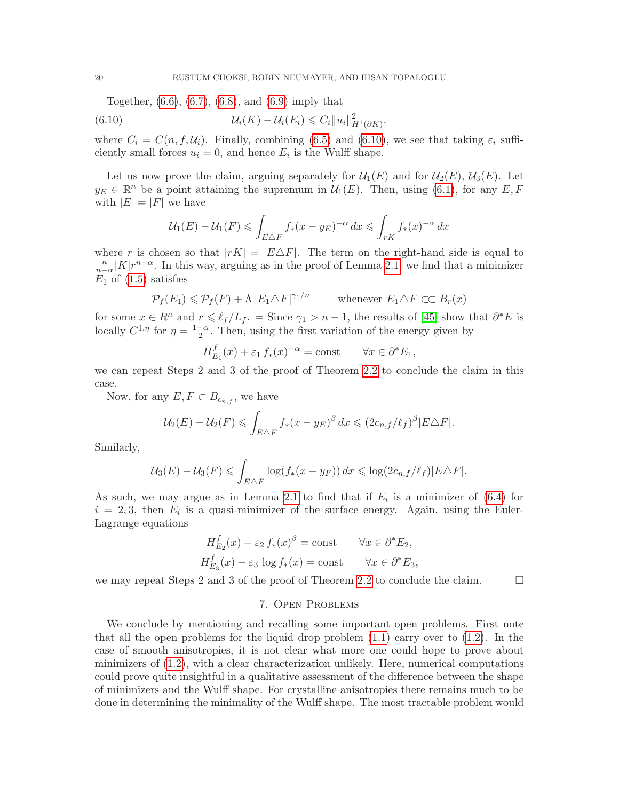Together, [\(6.6\)](#page-18-1), [\(6.7\)](#page-18-2), [\(6.8\)](#page-18-3), and [\(6.9\)](#page-18-4) imply that

(6.10) 
$$
\mathcal{U}_i(K) - \mathcal{U}_i(E_i) \leqslant C_i \|u_i\|_{H^1(\partial K)}^2.
$$

where  $C_i = C(n, f, \mathcal{U}_i)$ . Finally, combining [\(6.5\)](#page-18-5) and [\(6.10\)](#page-19-1), we see that taking  $\varepsilon_i$  sufficiently small forces  $u_i = 0$ , and hence  $E_i$  is the Wulff shape.

Let us now prove the claim, arguing separately for  $\mathcal{U}_1(E)$  and for  $\mathcal{U}_2(E)$ ,  $\mathcal{U}_3(E)$ . Let  $y_E \in \mathbb{R}^n$  be a point attaining the supremum in  $\mathcal{U}_1(E)$ . Then, using [\(6.1\)](#page-17-4), for any  $E, F$ with  $|E| = |F|$  we have

<span id="page-19-1"></span>
$$
\mathcal{U}_1(E) - \mathcal{U}_1(F) \le \int_{E \triangle F} f_*(x - y_E)^{-\alpha} dx \le \int_{rK} f_*(x)^{-\alpha} dx
$$

where r is chosen so that  $|rK| = |E \triangle F|$ . The term on the right-hand side is equal to  $\frac{n}{n-\alpha}|K|r^{n-\alpha}$ . In this way, arguing as in the proof of Lemma [2.1,](#page-8-2) we find that a minimizer  $E_1$  of  $(1.5)$  satisfies

$$
\mathcal{P}_f(E_1) \leq \mathcal{P}_f(F) + \Lambda |E_1 \triangle F|^{\gamma_1/n} \qquad \text{whenever } E_1 \triangle F \subset C \ B_r(x)
$$

for some  $x \in R^n$  and  $r \leq \ell_f /L_f$ . = Since  $\gamma_1 > n - 1$ , the results of [\[45\]](#page-27-12) show that  $\partial^* E$  is locally  $C^{1,\eta}$  for  $\eta = \frac{1-\alpha}{2}$  $\frac{-\alpha}{2}$ . Then, using the first variation of the energy given by

$$
H_{E_1}^f(x) + \varepsilon_1 f_*(x)^{-\alpha} = \text{const} \qquad \forall x \in \partial^* E_1,
$$

we can repeat Steps 2 and 3 of the proof of Theorem [2.2](#page-9-0) to conclude the claim in this case.

Now, for any  $E, F \subset B_{c_{n,f}},$  we have

$$
\mathcal{U}_2(E) - \mathcal{U}_2(F) \leqslant \int_{E \triangle F} f_*(x - y_E)^{\beta} dx \leqslant (2c_{n,f}/\ell_f)^{\beta} |E \triangle F|.
$$

Similarly,

$$
\mathcal{U}_3(E) - \mathcal{U}_3(F) \leqslant \int_{E \triangle F} \log(f_*(x - y_F)) \, dx \leqslant \log(2c_{n,f}/\ell_f) |E \triangle F|.
$$

As such, we may argue as in Lemma [2.1](#page-8-2) to find that if  $E_i$  is a minimizer of [\(6.4\)](#page-18-0) for  $i = 2, 3$ , then  $E_i$  is a quasi-minimizer of the surface energy. Again, using the Euler-Lagrange equations

$$
H_{E_2}^f(x) - \varepsilon_2 f_*(x)^\beta = \text{const} \qquad \forall x \in \partial^* E_2,
$$
  

$$
H_{E_3}^f(x) - \varepsilon_3 \log f_*(x) = \text{const} \qquad \forall x \in \partial^* E_3,
$$

<span id="page-19-0"></span>we may repeat Steps 2 and 3 of the proof of Theorem [2.2](#page-9-0) to conclude the claim.  $\Box$ 

# 7. Open Problems

We conclude by mentioning and recalling some important open problems. First note that all the open problems for the liquid drop problem  $(1.1)$  carry over to  $(1.2)$ . In the case of smooth anisotropies, it is not clear what more one could hope to prove about minimizers of [\(1.2\)](#page-2-0), with a clear characterization unlikely. Here, numerical computations could prove quite insightful in a qualitative assessment of the difference between the shape of minimizers and the Wulff shape. For crystalline anisotropies there remains much to be done in determining the minimality of the Wulff shape. The most tractable problem would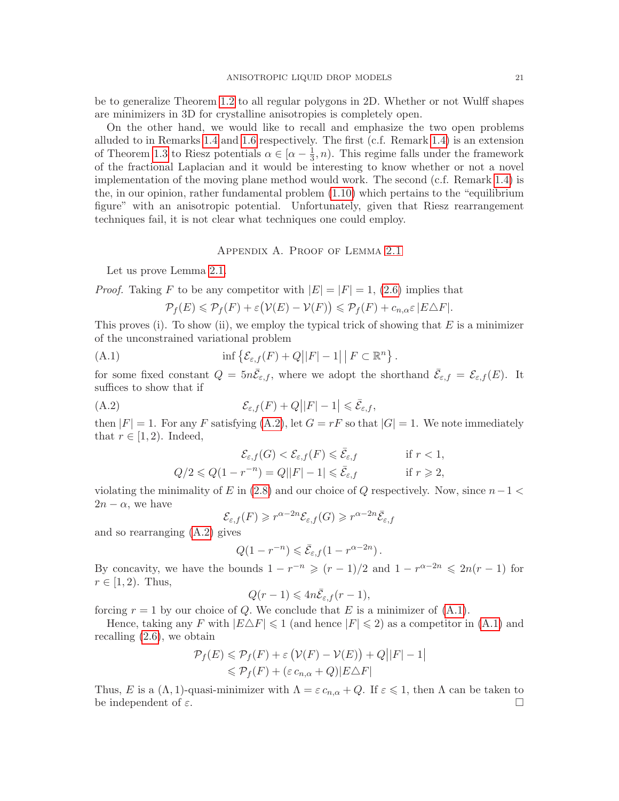be to generalize Theorem [1.2](#page-3-1) to all regular polygons in 2D. Whether or not Wulff shapes are minimizers in 3D for crystalline anisotropies is completely open.

On the other hand, we would like to recall and emphasize the two open problems alluded to in Remarks [1.4](#page-4-1) and [1.6](#page-6-3) respectively. The first (c.f. Remark [1.4\)](#page-4-1) is an extension of Theorem [1.3](#page-4-0) to Riesz potentials  $\alpha \in [\alpha - \frac{1}{3}]$  $(\frac{1}{3}, n)$ . This regime falls under the framework of the fractional Laplacian and it would be interesting to know whether or not a novel implementation of the moving plane method would work. The second (c.f. Remark [1.4\)](#page-4-1) is the, in our opinion, rather fundamental problem [\(1.10\)](#page-6-2) which pertains to the "equilibrium figure" with an anisotropic potential. Unfortunately, given that Riesz rearrangement techniques fail, it is not clear what techniques one could employ.

# Appendix A. Proof of Lemma [2.1](#page-8-2)

<span id="page-20-0"></span>Let us prove Lemma [2.1.](#page-8-2)

*Proof.* Taking F to be any competitor with  $|E| = |F| = 1$ , [\(2.6\)](#page-7-3) implies that

<span id="page-20-2"></span>
$$
\mathcal{P}_f(E) \leq \mathcal{P}_f(F) + \varepsilon \big(\mathcal{V}(E) - \mathcal{V}(F)\big) \leq \mathcal{P}_f(F) + c_{n,\alpha} \varepsilon \, |E \triangle F|.
$$

This proves (i). To show (ii), we employ the typical trick of showing that  $E$  is a minimizer of the unconstrained variational problem

(A.1) 
$$
\inf \left\{ \mathcal{E}_{\varepsilon,f}(F) + Q||F| - 1||F \subset \mathbb{R}^n \right\}.
$$

for some fixed constant  $Q = 5n\bar{\mathcal{E}}_{\varepsilon,f}$ , where we adopt the shorthand  $\bar{\mathcal{E}}_{\varepsilon,f} = \mathcal{E}_{\varepsilon,f}(E)$ . It suffices to show that if

(A.2) 
$$
\mathcal{E}_{\varepsilon,f}(F) + Q||F| - 1| \leq \bar{\mathcal{E}}_{\varepsilon,f},
$$

then  $|F| = 1$ . For any F satisfying  $(A.2)$ , let  $G = rF$  so that  $|G| = 1$ . We note immediately that  $r \in [1, 2)$ . Indeed,

<span id="page-20-1"></span>
$$
\mathcal{E}_{\varepsilon,f}(G) < \mathcal{E}_{\varepsilon,f}(F) \leqslant \bar{\mathcal{E}}_{\varepsilon,f} \qquad \text{if } r < 1,
$$
\n
$$
Q/2 \leqslant Q(1 - r^{-n}) = Q||F| - 1| \leqslant \bar{\mathcal{E}}_{\varepsilon,f} \qquad \text{if } r \geqslant 2,
$$

violating the minimality of E in  $(2.8)$  and our choice of Q respectively. Now, since  $n-1 <$  $2n - \alpha$ , we have

$$
\mathcal{E}_{\varepsilon,f}(F) \geqslant r^{\alpha-2n}\mathcal{E}_{\varepsilon,f}(G) \geqslant r^{\alpha-2n}\bar{\mathcal{E}}_{\varepsilon,f}
$$

and so rearranging [\(A.2\)](#page-20-1) gives

$$
Q(1 - r^{-n}) \leqslant \bar{\mathcal{E}}_{\varepsilon,f}(1 - r^{\alpha - 2n}).
$$

By concavity, we have the bounds  $1 - r^{-n} \ge (r - 1)/2$  and  $1 - r^{\alpha - 2n} \le 2n(r - 1)$  for  $r \in [1, 2)$ . Thus,

$$
Q(r-1) \leq 4n\bar{\mathcal{E}}_{\varepsilon,f}(r-1),
$$

forcing  $r = 1$  by our choice of Q. We conclude that E is a minimizer of  $(A.1)$ .

Hence, taking any F with  $|E\Delta F| \leq 1$  (and hence  $|F| \leq 2$ ) as a competitor in [\(A.1\)](#page-20-2) and recalling [\(2.6\)](#page-7-3), we obtain

$$
\mathcal{P}_f(E) \leq \mathcal{P}_f(F) + \varepsilon \left( \mathcal{V}(F) - \mathcal{V}(E) \right) + Q||F| - 1|
$$
  

$$
\leq \mathcal{P}_f(F) + (\varepsilon c_{n,\alpha} + Q)|E\triangle F|
$$

Thus, E is a  $(\Lambda, 1)$ -quasi-minimizer with  $\Lambda = \varepsilon c_{n,\alpha} + Q$ . If  $\varepsilon \leq 1$ , then  $\Lambda$  can be taken to be independent of  $\varepsilon$ .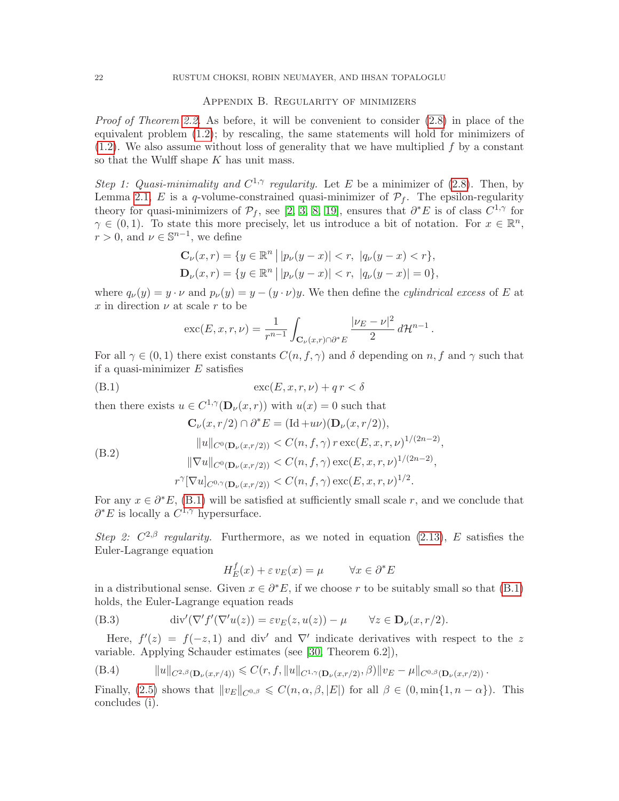## Appendix B. Regularity of minimizers

<span id="page-21-0"></span>Proof of Theorem [2.2.](#page-9-0) As before, it will be convenient to consider [\(2.8\)](#page-8-0) in place of the equivalent problem [\(1.2\)](#page-2-0); by rescaling, the same statements will hold for minimizers of  $(1.2)$ . We also assume without loss of generality that we have multiplied  $f$  by a constant so that the Wulff shape K has unit mass.

Step 1: Quasi-minimality and  $C^{1,\gamma}$  regularity. Let E be a minimizer of [\(2.8\)](#page-8-0). Then, by Lemma [2.1,](#page-8-2) E is a q-volume-constrained quasi-minimizer of  $\mathcal{P}_f$ . The epsilon-regularity theory for quasi-minimizers of  $\mathcal{P}_f$ , see [\[2,](#page-25-14) [3,](#page-25-15) [8,](#page-25-16) [19\]](#page-26-15), ensures that  $\partial^* E$  is of class  $C^{1,\gamma}$  for  $\gamma \in (0,1)$ . To state this more precisely, let us introduce a bit of notation. For  $x \in \mathbb{R}^n$ ,  $r > 0$ , and  $\nu \in \mathbb{S}^{n-1}$ , we define

$$
\mathbf{C}_{\nu}(x,r) = \{ y \in \mathbb{R}^n \, \big| \, |p_{\nu}(y-x)| < r, \, |q_{\nu}(y-x)| < r \},
$$
\n
$$
\mathbf{D}_{\nu}(x,r) = \{ y \in \mathbb{R}^n \, \big| \, |p_{\nu}(y-x)| < r, \, |q_{\nu}(y-x)| = 0 \},
$$

where  $q_{\nu}(y) = y \cdot \nu$  and  $p_{\nu}(y) = y - (y \cdot \nu)y$ . We then define the *cylindrical excess* of E at x in direction  $\nu$  at scale r to be

<span id="page-21-1"></span>
$$
\operatorname{exc}(E, x, r, \nu) = \frac{1}{r^{n-1}} \int_{\mathbf{C}_{\nu}(x, r) \cap \partial^* E} \frac{|\nu_E - \nu|^2}{2} d\mathcal{H}^{n-1}.
$$

For all  $\gamma \in (0,1)$  there exist constants  $C(n, f, \gamma)$  and  $\delta$  depending on n, f and  $\gamma$  such that if a quasi-minimizer  $E$  satisfies

$$
(B.1) \qquad \qquad \csc(E, x, r, \nu) + qr < \delta
$$

then there exists  $u \in C^{1,\gamma}(\mathbf{D}_{\nu}(x,r))$  with  $u(x) = 0$  such that

<span id="page-21-2"></span>
$$
\mathbf{C}_{\nu}(x, r/2) \cap \partial^* E = (\mathrm{Id} + u\nu)(\mathbf{D}_{\nu}(x, r/2)),
$$
  
\n
$$
||u||_{C^0(\mathbf{D}_{\nu}(x, r/2))} < C(n, f, \gamma) r \operatorname{exc}(E, x, r, \nu)^{1/(2n-2)},
$$
  
\n
$$
||\nabla u||_{C^0(\mathbf{D}_{\nu}(x, r/2))} < C(n, f, \gamma) \operatorname{exc}(E, x, r, \nu)^{1/(2n-2)},
$$
  
\n
$$
r^{\gamma}[\nabla u]_{C^{0,\gamma}(\mathbf{D}_{\nu}(x, r/2))} < C(n, f, \gamma) \operatorname{exc}(E, x, r, \nu)^{1/2}.
$$

For any  $x \in \partial^* E$ , [\(B.1\)](#page-21-1) will be satisfied at sufficiently small scale r, and we conclude that  $\partial^* E$  is locally a  $C^{1,\gamma}$  hypersurface.

Step 2:  $C^{2,\beta}$  regularity. Furthermore, as we noted in equation [\(2.13\)](#page-9-2), E satisfies the Euler-Lagrange equation

<span id="page-21-4"></span>
$$
H_E^f(x) + \varepsilon v_E(x) = \mu \qquad \forall x \in \partial^* E
$$

in a distributional sense. Given  $x \in \partial^* E$ , if we choose r to be suitably small so that [\(B.1\)](#page-21-1) holds, the Euler-Lagrange equation reads

(B.3) 
$$
\operatorname{div}'(\nabla' f'(\nabla'u(z)) = \varepsilon v_E(z, u(z)) - \mu \quad \forall z \in \mathbf{D}_{\nu}(x, r/2).
$$

Here,  $f'(z) = f(-z, 1)$  and div' and  $\nabla'$  indicate derivatives with respect to the z variable. Applying Schauder estimates (see [\[30,](#page-26-16) Theorem 6.2]),

<span id="page-21-3"></span>(B.4) 
$$
||u||_{C^{2,\beta}(\mathbf{D}_{\nu}(x,r/4))} \leq C(r, f, ||u||_{C^{1,\gamma}(\mathbf{D}_{\nu}(x,r/2), \beta)} ||v_E - \mu||_{C^{0,\beta}(\mathbf{D}_{\nu}(x,r/2))}.
$$

Finally, [\(2.5\)](#page-7-0) shows that  $||v_E||_{C^{0,\beta}} \leq C(n, \alpha, \beta, |E|)$  for all  $\beta \in (0, \min\{1, n - \alpha\})$ . This concludes (i).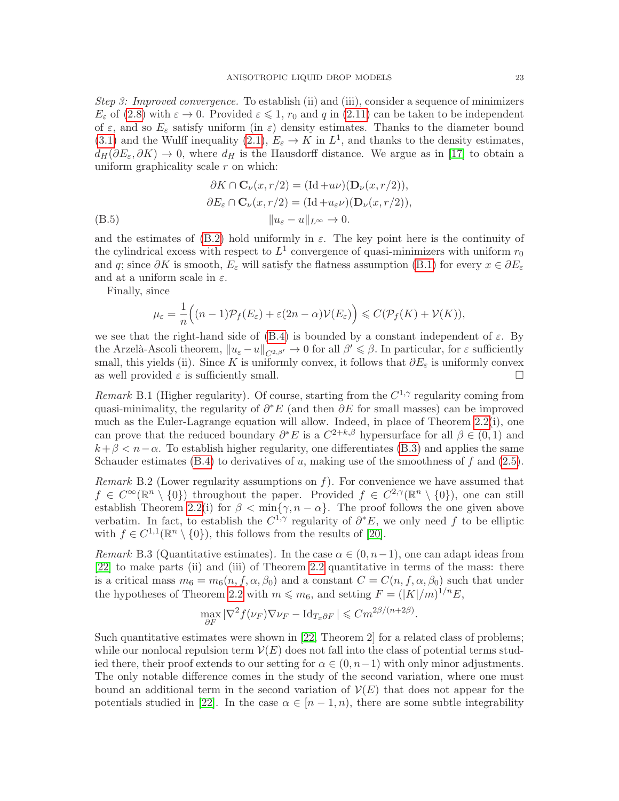Step 3: Improved convergence. To establish (ii) and (iii), consider a sequence of minimizers  $E_{\varepsilon}$  of [\(2.8\)](#page-8-0) with  $\varepsilon \to 0$ . Provided  $\varepsilon \leq 1$ ,  $r_0$  and q in [\(2.11\)](#page-8-4) can be taken to be independent of  $\varepsilon$ , and so  $E_{\varepsilon}$  satisfy uniform (in  $\varepsilon$ ) density estimates. Thanks to the diameter bound [\(3.1\)](#page-10-2) and the Wulff inequality [\(2.1\)](#page-7-6),  $E_{\varepsilon} \to K$  in  $L^1$ , and thanks to the density estimates,  $d_H(\partial E_\varepsilon, \partial K) \to 0$ , where  $d_H$  is the Hausdorff distance. We argue as in [\[17\]](#page-25-17) to obtain a uniform graphicality scale  $r$  on which:

$$
\partial K \cap \mathbf{C}_{\nu}(x, r/2) = (\mathrm{Id} + u\nu)(\mathbf{D}_{\nu}(x, r/2)),
$$
  

$$
\partial E_{\varepsilon} \cap \mathbf{C}_{\nu}(x, r/2) = (\mathrm{Id} + u_{\varepsilon}\nu)(\mathbf{D}_{\nu}(x, r/2)),
$$
  

$$
\|u_{\varepsilon} - u\|_{L^{\infty}} \to 0.
$$

and the estimates of [\(B.2\)](#page-21-2) hold uniformly in  $\varepsilon$ . The key point here is the continuity of the cylindrical excess with respect to  $L^1$  convergence of quasi-minimizers with uniform  $r_0$ and q; since  $\partial K$  is smooth,  $E_{\varepsilon}$  will satisfy the flatness assumption [\(B.1\)](#page-21-1) for every  $x \in \partial E_{\varepsilon}$ and at a uniform scale in  $\varepsilon$ .

Finally, since

$$
\mu_{\varepsilon} = \frac{1}{n} \Big( (n-1) \mathcal{P}_f(E_{\varepsilon}) + \varepsilon (2n-\alpha) \mathcal{V}(E_{\varepsilon}) \Big) \leqslant C(\mathcal{P}_f(K) + \mathcal{V}(K)),
$$

we see that the right-hand side of  $(B.4)$  is bounded by a constant independent of  $\varepsilon$ . By the Arzelà-Ascoli theorem,  $||u_{\varepsilon} - u||_{C^{2,\beta'}} \to 0$  for all  $\beta' \leq \beta$ . In particular, for  $\varepsilon$  sufficiently small, this yields (ii). Since K is uniformly convex, it follows that  $\partial E_{\varepsilon}$  is uniformly convex as well provided  $\varepsilon$  is sufficiently small.

Remark B.1 (Higher regularity). Of course, starting from the  $C^{1,\gamma}$  regularity coming from quasi-minimality, the regularity of  $\partial^* E$  (and then  $\partial E$  for small masses) can be improved much as the Euler-Lagrange equation will allow. Indeed, in place of Theorem [2.2\(](#page-9-0)i), one can prove that the reduced boundary  $\partial^* E$  is a  $C^{2+k,\beta}$  hypersurface for all  $\beta \in (0,1)$  and  $k+\beta < n-\alpha$ . To establish higher regularity, one differentiates [\(B.3\)](#page-21-4) and applies the same Schauder estimates  $(B.4)$  to derivatives of u, making use of the smoothness of f and  $(2.5)$ .

*Remark* B.2 (Lower regularity assumptions on  $f$ ). For convenience we have assumed that  $f \in C^{\infty}(\mathbb{R}^n \setminus \{0\})$  throughout the paper. Provided  $f \in C^{2,\gamma}(\mathbb{R}^n \setminus \{0\})$ , one can still establish Theorem [2.2\(](#page-9-0)i) for  $\beta < \min\{\gamma, n - \alpha\}$ . The proof follows the one given above verbatim. In fact, to establish the  $C^{1,\gamma}$  regularity of  $\partial^*E$ , we only need f to be elliptic with  $f \in C^{1,1}(\mathbb{R}^n \setminus \{0\})$ , this follows from the results of [\[20\]](#page-26-17).

Remark B.3 (Quantitative estimates). In the case  $\alpha \in (0, n-1)$ , one can adapt ideas from [\[22\]](#page-26-14) to make parts (ii) and (iii) of Theorem [2.2](#page-9-0) quantitative in terms of the mass: there is a critical mass  $m_6 = m_6(n, f, \alpha, \beta_0)$  and a constant  $C = C(n, f, \alpha, \beta_0)$  such that under the hypotheses of Theorem [2.2](#page-9-0) with  $m \leq m_6$ , and setting  $F = (|K|/m)^{1/n}E$ ,

$$
\max_{\partial F} |\nabla^2 f(\nu_F) \nabla \nu_F - \mathrm{Id}_{T_x \partial F}| \leqslant C m^{2\beta/(n+2\beta)}.
$$

Such quantitative estimates were shown in [\[22,](#page-26-14) Theorem 2] for a related class of problems; while our nonlocal repulsion term  $\mathcal{V}(E)$  does not fall into the class of potential terms studied there, their proof extends to our setting for  $\alpha \in (0, n-1)$  with only minor adjustments. The only notable difference comes in the study of the second variation, where one must bound an additional term in the second variation of  $\mathcal{V}(E)$  that does not appear for the potentials studied in [\[22\]](#page-26-14). In the case  $\alpha \in [n-1,n)$ , there are some subtle integrability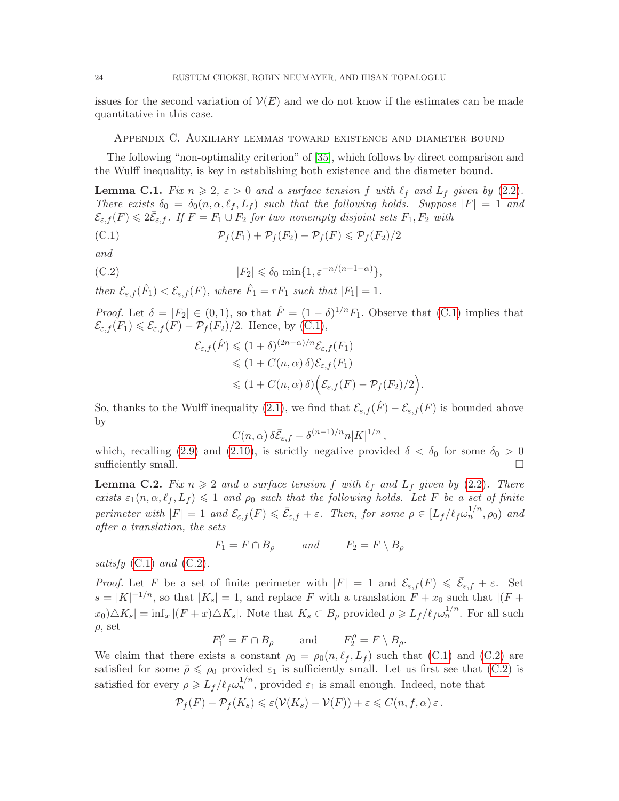issues for the second variation of  $\mathcal{V}(E)$  and we do not know if the estimates can be made quantitative in this case.

### <span id="page-23-0"></span>Appendix C. Auxiliary lemmas toward existence and diameter bound

The following "non-optimality criterion" of [\[35\]](#page-26-2), which follows by direct comparison and the Wulff inequality, is key in establishing both existence and the diameter bound.

<span id="page-23-1"></span>**Lemma C.1.** Fix  $n \geq 2$ ,  $\varepsilon > 0$  and a surface tension f with  $\ell_f$  and  $L_f$  given by [\(2.2\)](#page-7-5). There exists  $\delta_0 = \delta_0(n, \alpha, \ell_f, L_f)$  such that the following holds. Suppose  $|F| = 1$  and  $\mathcal{E}_{\varepsilon,f}(F) \leqslant 2\bar{\mathcal{E}}_{\varepsilon,f}$ . If  $F = F_1 \cup F_2$  for two nonempty disjoint sets  $F_1, F_2$  with

(C.1) 
$$
\mathcal{P}_f(F_1) + \mathcal{P}_f(F_2) - \mathcal{P}_f(F) \leq \mathcal{P}_f(F_2)/2
$$

and

(C.2) 
$$
|F_2| \leq \delta_0 \min\{1, \varepsilon^{-n/(n+1-\alpha)}\},
$$

then  $\mathcal{E}_{\varepsilon,f}(\hat{F}_1) < \mathcal{E}_{\varepsilon,f}(F)$ , where  $\hat{F}_1 = rF_1$  such that  $|F_1| = 1$ .

*Proof.* Let  $\delta = |F_2| \in (0,1)$ , so that  $\hat{F} = (1-\delta)^{1/n} F_1$ . Observe that [\(C.1\)](#page-23-3) implies that  $\mathcal{E}_{\varepsilon,f}(F_1) \leq \mathcal{E}_{\varepsilon,f}(F) - \mathcal{P}_f(F_2)/2$ . Hence, by [\(C.1\)](#page-23-3),

<span id="page-23-4"></span><span id="page-23-3"></span>
$$
\mathcal{E}_{\varepsilon,f}(\hat{F}) \leq (1+\delta)^{(2n-\alpha)/n} \mathcal{E}_{\varepsilon,f}(F_1)
$$
  
\n
$$
\leq (1+C(n,\alpha)\delta) \mathcal{E}_{\varepsilon,f}(F_1)
$$
  
\n
$$
\leq (1+C(n,\alpha)\delta) \Big( \mathcal{E}_{\varepsilon,f}(F) - \mathcal{P}_f(F_2)/2 \Big).
$$

So, thanks to the Wulff inequality [\(2.1\)](#page-7-6), we find that  $\mathcal{E}_{\varepsilon,f}(\hat{F}) - \mathcal{E}_{\varepsilon,f}(F)$  is bounded above by

$$
C(n,\alpha)\,\delta\bar{\mathcal{E}}_{\varepsilon,f} - \delta^{(n-1)/n}n|K|^{1/n}\,,
$$

which, recalling [\(2.9\)](#page-8-5) and [\(2.10\)](#page-8-6), is strictly negative provided  $\delta < \delta_0$  for some  $\delta_0 > 0$ sufficiently small.  $\Box$ 

<span id="page-23-2"></span>**Lemma C.2.** Fix  $n \geq 2$  and a surface tension f with  $\ell_f$  and  $L_f$  given by [\(2.2\)](#page-7-5). There exists  $\varepsilon_1(n, \alpha, \ell_f, L_f) \leq 1$  and  $\rho_0$  such that the following holds. Let F be a set of finite perimeter with  $|F| = 1$  and  $\mathcal{E}_{\varepsilon,f}(F) \leqslant \bar{\mathcal{E}}_{\varepsilon,f} + \varepsilon$ . Then, for some  $\rho \in [L_f/\ell_f \omega_n^{1/n}, \rho_0]$  and after a translation, the sets

$$
F_1 = F \cap B_{\rho} \qquad \text{and} \qquad F_2 = F \setminus B_{\rho}
$$

satisfy  $(C.1)$  and  $(C.2)$ .

*Proof.* Let F be a set of finite perimeter with  $|F| = 1$  and  $\mathcal{E}_{\varepsilon,f}(F) \leq \overline{\mathcal{E}}_{\varepsilon,f} + \varepsilon$ . Set  $s = |K|^{-1/n}$ , so that  $|K_s| = 1$ , and replace F with a translation  $F + x_0$  such that  $|(F + x_0)|^2$  $x_0 \Delta K_s = \inf_x |(F+x) \Delta K_s|$ . Note that  $K_s \subset B_\rho$  provided  $\rho \geqslant L_f / \ell_f \omega_n^{1/n}$ . For all such  $\rho$ , set

$$
F_1^{\rho} = F \cap B_{\rho}
$$
 and  $F_2^{\rho} = F \setminus B_{\rho}$ .

We claim that there exists a constant  $\rho_0 = \rho_0(n, \ell_f, L_f)$  such that [\(C.1\)](#page-23-3) and [\(C.2\)](#page-23-4) are satisfied for some  $\bar{\rho} \leq \rho_0$  provided  $\varepsilon_1$  is sufficiently small. Let us first see that [\(C.2\)](#page-23-4) is satisfied for every  $\rho \geqslant L_f / \ell_f \omega_n^{1/n}$ , provided  $\varepsilon_1$  is small enough. Indeed, note that

$$
\mathcal{P}_f(F) - \mathcal{P}_f(K_s) \leq \varepsilon(\mathcal{V}(K_s) - \mathcal{V}(F)) + \varepsilon \leq C(n, f, \alpha) \varepsilon.
$$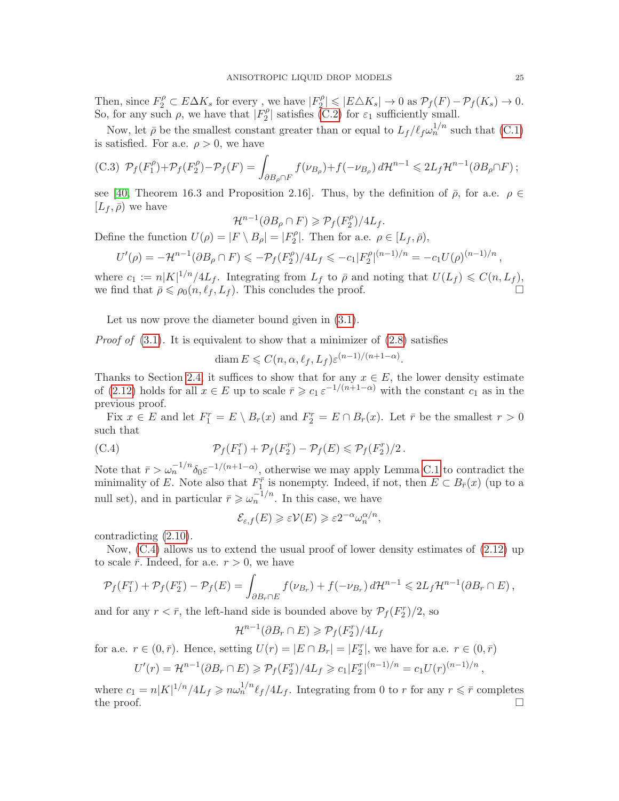Then, since  $F_2^{\rho}\subset E\Delta K_s$  for every , we have  $|F_2^{\rho}\rangle$  $\mathbb{P}_2^{\rho} \leqslant |E \triangle K_s| \to 0 \text{ as } \mathcal{P}_f(F) - \mathcal{P}_f(K_s) \to 0.$ So, for any such  $\rho$ , we have that  $|F_2^{\rho}$  $|2^{\rho}|$  satisfies [\(C.2\)](#page-23-4) for  $\varepsilon_1$  sufficiently small.

Now, let  $\bar{\rho}$  be the smallest constant greater than or equal to  $L_f/ \ell_f \omega_n^{1/n}$  such that [\(C.1\)](#page-23-3) is satisfied. For a.e.  $\rho > 0$ , we have

(C.3) 
$$
\mathcal{P}_f(F_1^{\rho}) + \mathcal{P}_f(F_2^{\rho}) - \mathcal{P}_f(F) = \int_{\partial B_{\rho} \cap F} f(\nu_{B_{\rho}}) + f(-\nu_{B_{\rho}}) d\mathcal{H}^{n-1} \leq 2L_f \mathcal{H}^{n-1}(\partial B_{\rho} \cap F);
$$

see [\[40,](#page-27-11) Theorem 16.3 and Proposition 2.16]. Thus, by the definition of  $\bar{\rho}$ , for a.e.  $\rho \in$  $[L_f, \bar{\rho})$  we have

$$
\mathcal{H}^{n-1}(\partial B_{\rho} \cap F) \geqslant \mathcal{P}_f(F_2^{\rho})/4L_f.
$$

Define the function  $U(\rho) = |F \setminus B_{\rho}| = |F_2^{\rho}|$  $\mathcal{P}_2^{\rho}$ . Then for a.e.  $\rho \in [L_f, \bar{\rho}),$ 

$$
U'(\rho) = -\mathcal{H}^{n-1}(\partial B_{\rho} \cap F) \leq -\mathcal{P}_f(F_2^{\rho})/4L_f \leq -c_1|F_2^{\rho}|^{(n-1)/n} = -c_1U(\rho)^{(n-1)/n}
$$

where  $c_1 := n|K|^{1/n}/4L_f$ . Integrating from  $L_f$  to  $\bar{\rho}$  and noting that  $U(L_f) \leq C(n, L_f)$ , we find that  $\bar{\rho} \leq \rho_0(n, \ell_f, L_f)$ . This concludes the proof.

Let us now prove the diameter bound given in  $(3.1)$ .

*Proof of*  $(3.1)$ . It is equivalent to show that a minimizer of  $(2.8)$  satisfies

diam  $E \leqslant C(n, \alpha, \ell_f, L_f) \varepsilon^{(n-1)/(n+1-\alpha)}$ .

Thanks to Section [2.4,](#page-8-3) it suffices to show that for any  $x \in E$ , the lower density estimate of [\(2.12\)](#page-9-1) holds for all  $x \in E$  up to scale  $\bar{r} \geq c_1 \varepsilon^{-1/(n+1-\alpha)}$  with the constant  $c_1$  as in the previous proof.

Fix  $x \in E$  and let  $F_1^r = E \setminus B_r(x)$  and  $F_2^r = E \cap B_r(x)$ . Let  $\overline{r}$  be the smallest  $r > 0$ such that

(C.4) 
$$
\mathcal{P}_f(F_1^r) + \mathcal{P}_f(F_2^r) - \mathcal{P}_f(E) \leq \mathcal{P}_f(F_2^r)/2.
$$

Note that  $\bar{r} > \omega_n^{-1/n} \delta_0 \varepsilon^{-1/(n+1-\alpha)}$ , otherwise we may apply Lemma [C.1](#page-23-1) to contradict the minimality of E. Note also that  $F_1^{\bar{r}}$  is nonempty. Indeed, if not, then  $E \subset B_{\bar{r}}(x)$  (up to a null set), and in particular  $\bar{r} \geqslant \omega_n^{-1/n}$ . In this case, we have

<span id="page-24-0"></span>
$$
\mathcal{E}_{\varepsilon,f}(E) \geqslant \varepsilon \mathcal{V}(E) \geqslant \varepsilon 2^{-\alpha} \omega_n^{\alpha/n},
$$

contradicting [\(2.10\)](#page-8-6).

Now,  $(C.4)$  allows us to extend the usual proof of lower density estimates of  $(2.12)$  up to scale  $\bar{r}$ . Indeed, for a.e.  $r > 0$ , we have

$$
\mathcal{P}_f(F_1^r) + \mathcal{P}_f(F_2^r) - \mathcal{P}_f(E) = \int_{\partial B_r \cap E} f(\nu_{B_r}) + f(-\nu_{B_r}) d\mathcal{H}^{n-1} \leq 2L_f \mathcal{H}^{n-1}(\partial B_r \cap E),
$$

and for any  $r < \bar{r}$ , the left-hand side is bounded above by  $\mathcal{P}_f(F_2^r)/2$ , so

$$
\mathcal{H}^{n-1}(\partial B_r \cap E) \geqslant \mathcal{P}_f(F_2^r)/4L_f
$$

for a.e.  $r \in (0, \bar{r})$ . Hence, setting  $U(r) = |E \cap B_r| = |F_2^r|$ , we have for a.e.  $r \in (0, \bar{r})$ 

$$
U'(r) = \mathcal{H}^{n-1}(\partial B_r \cap E) \ge \mathcal{P}_f(F_2^r)/4L_f \ge c_1|F_2^r|^{(n-1)/n} = c_1U(r)^{(n-1)/n}
$$

where  $c_1 = n|K|^{1/n}/4L_f \geq n\omega_n^{1/n}\ell_f/4L_f$ . Integrating from 0 to r for any  $r \leq r$  completes the proof.  $\Box$ 

,

,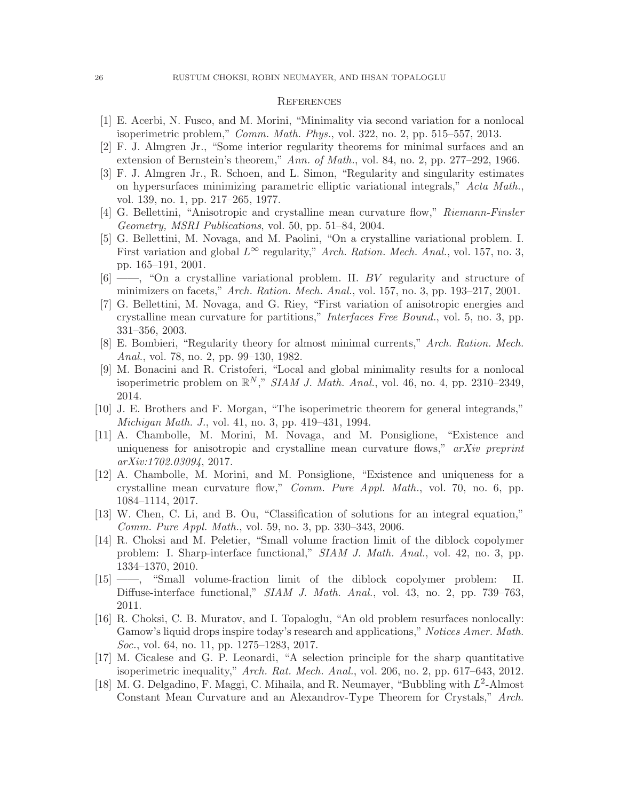### **REFERENCES**

- <span id="page-25-13"></span>[1] E. Acerbi, N. Fusco, and M. Morini, "Minimality via second variation for a nonlocal isoperimetric problem," Comm. Math. Phys., vol. 322, no. 2, pp. 515–557, 2013.
- <span id="page-25-14"></span>[2] F. J. Almgren Jr., "Some interior regularity theorems for minimal surfaces and an extension of Bernstein's theorem," Ann. of Math., vol. 84, no. 2, pp. 277–292, 1966.
- <span id="page-25-15"></span>[3] F. J. Almgren Jr., R. Schoen, and L. Simon, "Regularity and singularity estimates on hypersurfaces minimizing parametric elliptic variational integrals," Acta Math., vol. 139, no. 1, pp. 217–265, 1977.
- <span id="page-25-6"></span>[4] G. Bellettini, "Anisotropic and crystalline mean curvature flow," Riemann-Finsler Geometry, MSRI Publications, vol. 50, pp. 51–84, 2004.
- <span id="page-25-7"></span>[5] G. Bellettini, M. Novaga, and M. Paolini, "On a crystalline variational problem. I. First variation and global  $L^{\infty}$  regularity," Arch. Ration. Mech. Anal., vol. 157, no. 3, pp. 165–191, 2001.
- <span id="page-25-8"></span>[6] ——, "On a crystalline variational problem. II. BV regularity and structure of minimizers on facets," Arch. Ration. Mech. Anal., vol. 157, no. 3, pp. 193–217, 2001.
- <span id="page-25-9"></span>[7] G. Bellettini, M. Novaga, and G. Riey, "First variation of anisotropic energies and crystalline mean curvature for partitions," Interfaces Free Bound., vol. 5, no. 3, pp. 331–356, 2003.
- <span id="page-25-16"></span>[8] E. Bombieri, "Regularity theory for almost minimal currents," Arch. Ration. Mech. Anal., vol. 78, no. 2, pp. 99–130, 1982.
- <span id="page-25-2"></span>[9] M. Bonacini and R. Cristoferi, "Local and global minimality results for a nonlocal isoperimetric problem on  $\mathbb{R}^N$ ," SIAM J. Math. Anal., vol. 46, no. 4, pp. 2310–2349, 2014.
- <span id="page-25-4"></span>[10] J. E. Brothers and F. Morgan, "The isoperimetric theorem for general integrands," Michigan Math. J., vol. 41, no. 3, pp. 419–431, 1994.
- <span id="page-25-11"></span>[11] A. Chambolle, M. Morini, M. Novaga, and M. Ponsiglione, "Existence and uniqueness for anisotropic and crystalline mean curvature flows," arXiv preprint arXiv:1702.03094, 2017.
- <span id="page-25-10"></span>[12] A. Chambolle, M. Morini, and M. Ponsiglione, "Existence and uniqueness for a crystalline mean curvature flow," Comm. Pure Appl. Math., vol. 70, no. 6, pp. 1084–1114, 2017.
- <span id="page-25-5"></span>[13] W. Chen, C. Li, and B. Ou, "Classification of solutions for an integral equation," Comm. Pure Appl. Math., vol. 59, no. 3, pp. 330–343, 2006.
- <span id="page-25-3"></span>[14] R. Choksi and M. Peletier, "Small volume fraction limit of the diblock copolymer problem: I. Sharp-interface functional," SIAM J. Math. Anal., vol. 42, no. 3, pp. 1334–1370, 2010.
- <span id="page-25-1"></span>[15] ——, "Small volume-fraction limit of the diblock copolymer problem: II. Diffuse-interface functional," SIAM J. Math. Anal., vol. 43, no. 2, pp. 739–763, 2011.
- <span id="page-25-0"></span>[16] R. Choksi, C. B. Muratov, and I. Topaloglu, "An old problem resurfaces nonlocally: Gamow's liquid drops inspire today's research and applications," Notices Amer. Math. Soc., vol. 64, no. 11, pp. 1275–1283, 2017.
- <span id="page-25-17"></span>[17] M. Cicalese and G. P. Leonardi, "A selection principle for the sharp quantitative isoperimetric inequality," Arch. Rat. Mech. Anal., vol. 206, no. 2, pp. 617–643, 2012.
- <span id="page-25-12"></span>[18] M. G. Delgadino, F. Maggi, C. Mihaila, and R. Neumayer, "Bubbling with  $L^2$ -Almost Constant Mean Curvature and an Alexandrov-Type Theorem for Crystals," Arch.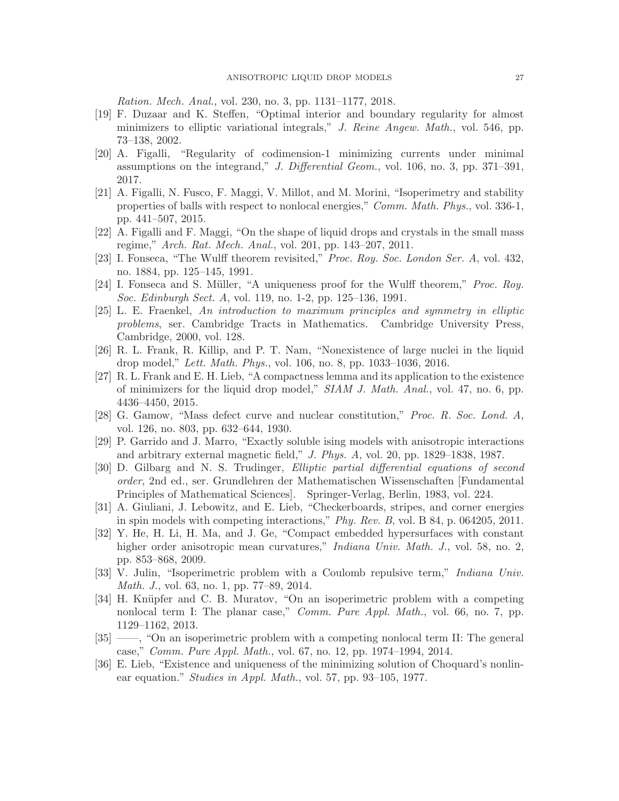Ration. Mech. Anal., vol. 230, no. 3, pp. 1131–1177, 2018.

- <span id="page-26-15"></span>[19] F. Duzaar and K. Steffen, "Optimal interior and boundary regularity for almost minimizers to elliptic variational integrals," J. Reine Angew. Math., vol. 546, pp. 73–138, 2002.
- <span id="page-26-17"></span>[20] A. Figalli, "Regularity of codimension-1 minimizing currents under minimal assumptions on the integrand," J. Differential Geom., vol. 106, no. 3, pp. 371–391, 2017.
- <span id="page-26-3"></span>[21] A. Figalli, N. Fusco, F. Maggi, V. Millot, and M. Morini, "Isoperimetry and stability properties of balls with respect to nonlocal energies," Comm. Math. Phys., vol. 336-1, pp. 441–507, 2015.
- <span id="page-26-14"></span>[22] A. Figalli and F. Maggi, "On the shape of liquid drops and crystals in the small mass regime," Arch. Rat. Mech. Anal., vol. 201, pp. 143–207, 2011.
- <span id="page-26-8"></span>[23] I. Fonseca, "The Wulff theorem revisited," Proc. Roy. Soc. London Ser. A, vol. 432, no. 1884, pp. 125–145, 1991.
- <span id="page-26-9"></span>[24] I. Fonseca and S. Müller, "A uniqueness proof for the Wulff theorem," *Proc. Roy.* Soc. Edinburgh Sect. A, vol. 119, no. 1-2, pp. 125–136, 1991.
- <span id="page-26-11"></span>[25] L. E. Fraenkel, An introduction to maximum principles and symmetry in elliptic problems, ser. Cambridge Tracts in Mathematics. Cambridge University Press, Cambridge, 2000, vol. 128.
- <span id="page-26-13"></span>[26] R. L. Frank, R. Killip, and P. T. Nam, "Nonexistence of large nuclei in the liquid drop model," Lett. Math. Phys., vol. 106, no. 8, pp. 1033–1036, 2016.
- <span id="page-26-4"></span>[27] R. L. Frank and E. H. Lieb, "A compactness lemma and its application to the existence of minimizers for the liquid drop model," SIAM J. Math. Anal., vol. 47, no. 6, pp. 4436–4450, 2015.
- <span id="page-26-0"></span>[28] G. Gamow, "Mass defect curve and nuclear constitution," Proc. R. Soc. Lond. A, vol. 126, no. 803, pp. 632–644, 1930.
- <span id="page-26-6"></span>[29] P. Garrido and J. Marro, "Exactly soluble ising models with anisotropic interactions and arbitrary external magnetic field," J. Phys. A, vol. 20, pp. 1829–1838, 1987.
- <span id="page-26-16"></span>[30] D. Gilbarg and N. S. Trudinger, Elliptic partial differential equations of second order, 2nd ed., ser. Grundlehren der Mathematischen Wissenschaften [Fundamental Principles of Mathematical Sciences]. Springer-Verlag, Berlin, 1983, vol. 224.
- <span id="page-26-7"></span>[31] A. Giuliani, J. Lebowitz, and E. Lieb, "Checkerboards, stripes, and corner energies in spin models with competing interactions," Phy. Rev. B, vol. B 84, p. 064205, 2011.
- <span id="page-26-10"></span>[32] Y. He, H. Li, H. Ma, and J. Ge, "Compact embedded hypersurfaces with constant higher order anisotropic mean curvatures," *Indiana Univ. Math. J.*, vol. 58, no. 2, pp. 853–868, 2009.
- <span id="page-26-5"></span>[33] V. Julin, "Isoperimetric problem with a Coulomb repulsive term," Indiana Univ. Math. J., vol. 63, no. 1, pp. 77–89, 2014.
- <span id="page-26-1"></span>[34] H. Knüpfer and C. B. Muratov, "On an isoperimetric problem with a competing nonlocal term I: The planar case," *Comm. Pure Appl. Math.*, vol. 66, no. 7, pp. 1129–1162, 2013.
- <span id="page-26-2"></span>[35] ——, "On an isoperimetric problem with a competing nonlocal term II: The general case," Comm. Pure Appl. Math., vol. 67, no. 12, pp. 1974–1994, 2014.
- <span id="page-26-12"></span>[36] E. Lieb, "Existence and uniqueness of the minimizing solution of Choquard's nonlinear equation." *Studies in Appl. Math.*, vol. 57, pp. 93–105, 1977.